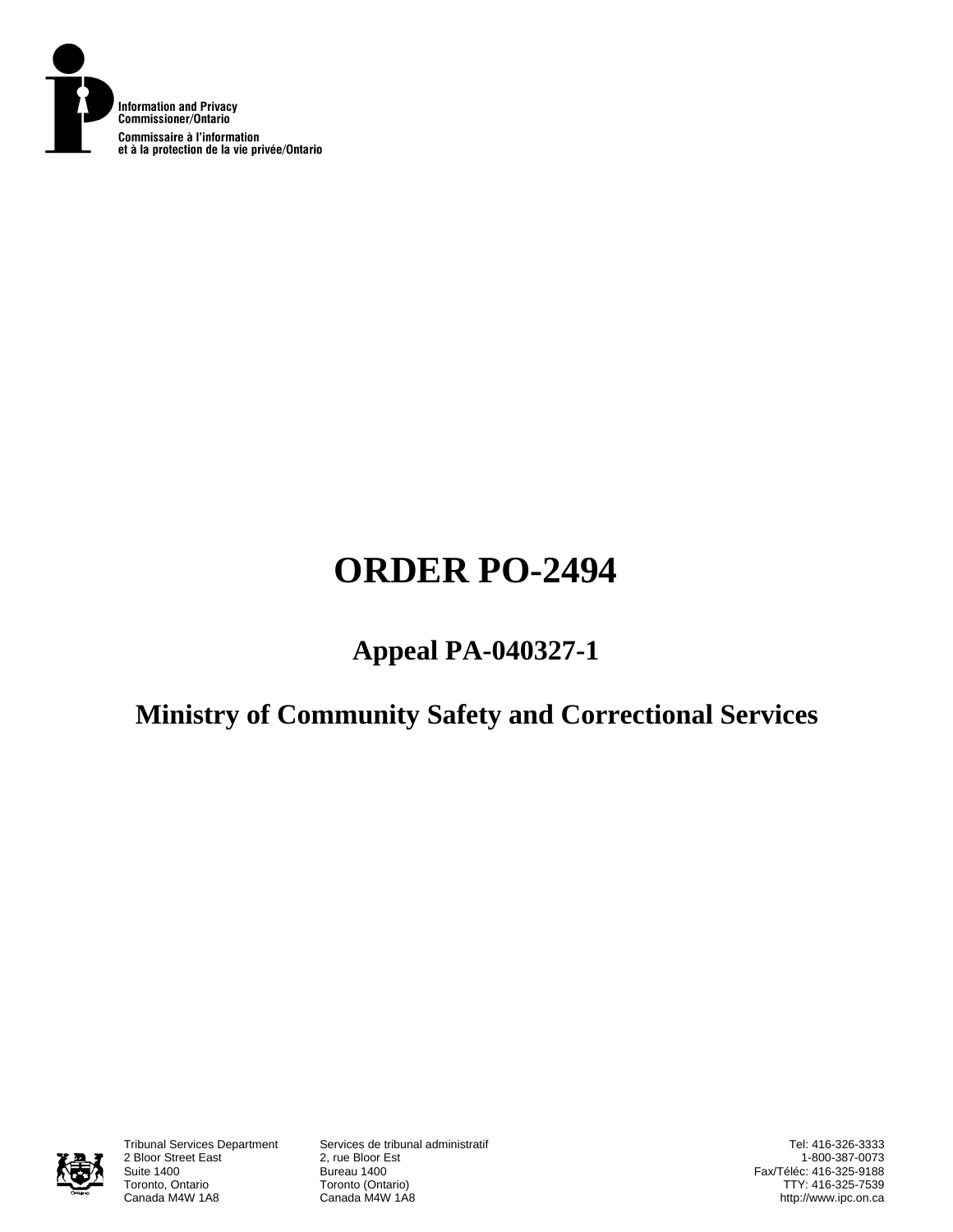

# **ORDER PO-2494**

# **Appeal PA-040327-1**

# **Ministry of Community Safety and Correctional Services**



2 Bloor Street East<br>Suite 1400 Suite 1400<br>Toronto, Ontario **Bureau 1400**<br>Toronto (Onta Toronto, Ontario **Toronto (Ontario)**<br>Canada M4W 1A8 **Canada M4W 1A8** 

Tribunal Services Department Services de tribunal administratif Canada M4W 1A8

Tel: 416-326-3333 1-800-387-0073 Fax/Téléc: 416-325-9188 TTY: 416-325-7539 http://www.ipc.on.ca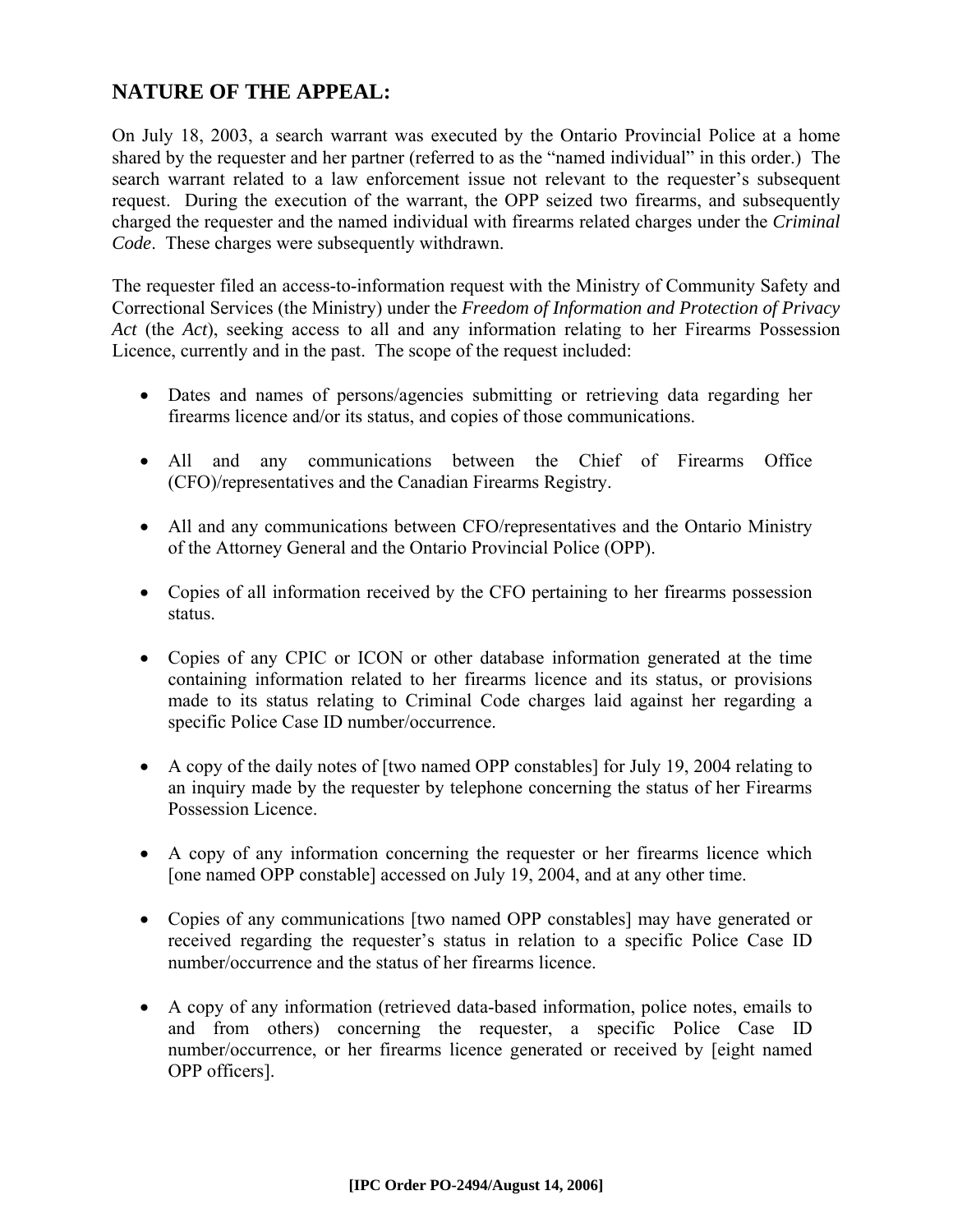# **NATURE OF THE APPEAL:**

On July 18, 2003, a search warrant was executed by the Ontario Provincial Police at a home shared by the requester and her partner (referred to as the "named individual" in this order.) The search warrant related to a law enforcement issue not relevant to the requester's subsequent request. During the execution of the warrant, the OPP seized two firearms, and subsequently charged the requester and the named individual with firearms related charges under the *Criminal Code*. These charges were subsequently withdrawn.

The requester filed an access-to-information request with the Ministry of Community Safety and Correctional Services (the Ministry) under the *Freedom of Information and Protection of Privacy Act* (the *Act*), seeking access to all and any information relating to her Firearms Possession Licence, currently and in the past. The scope of the request included:

- Dates and names of persons/agencies submitting or retrieving data regarding her firearms licence and/or its status, and copies of those communications.
- All and any communications between the Chief of Firearms Office (CFO)/representatives and the Canadian Firearms Registry.
- All and any communications between CFO/representatives and the Ontario Ministry of the Attorney General and the Ontario Provincial Police (OPP).
- Copies of all information received by the CFO pertaining to her firearms possession status.
- Copies of any CPIC or ICON or other database information generated at the time containing information related to her firearms licence and its status, or provisions made to its status relating to Criminal Code charges laid against her regarding a specific Police Case ID number/occurrence.
- A copy of the daily notes of [two named OPP constables] for July 19, 2004 relating to an inquiry made by the requester by telephone concerning the status of her Firearms Possession Licence.
- A copy of any information concerning the requester or her firearms licence which [one named OPP constable] accessed on July 19, 2004, and at any other time.
- Copies of any communications [two named OPP constables] may have generated or received regarding the requester's status in relation to a specific Police Case ID number/occurrence and the status of her firearms licence.
- A copy of any information (retrieved data-based information, police notes, emails to and from others) concerning the requester, a specific Police Case ID number/occurrence, or her firearms licence generated or received by [eight named OPP officers].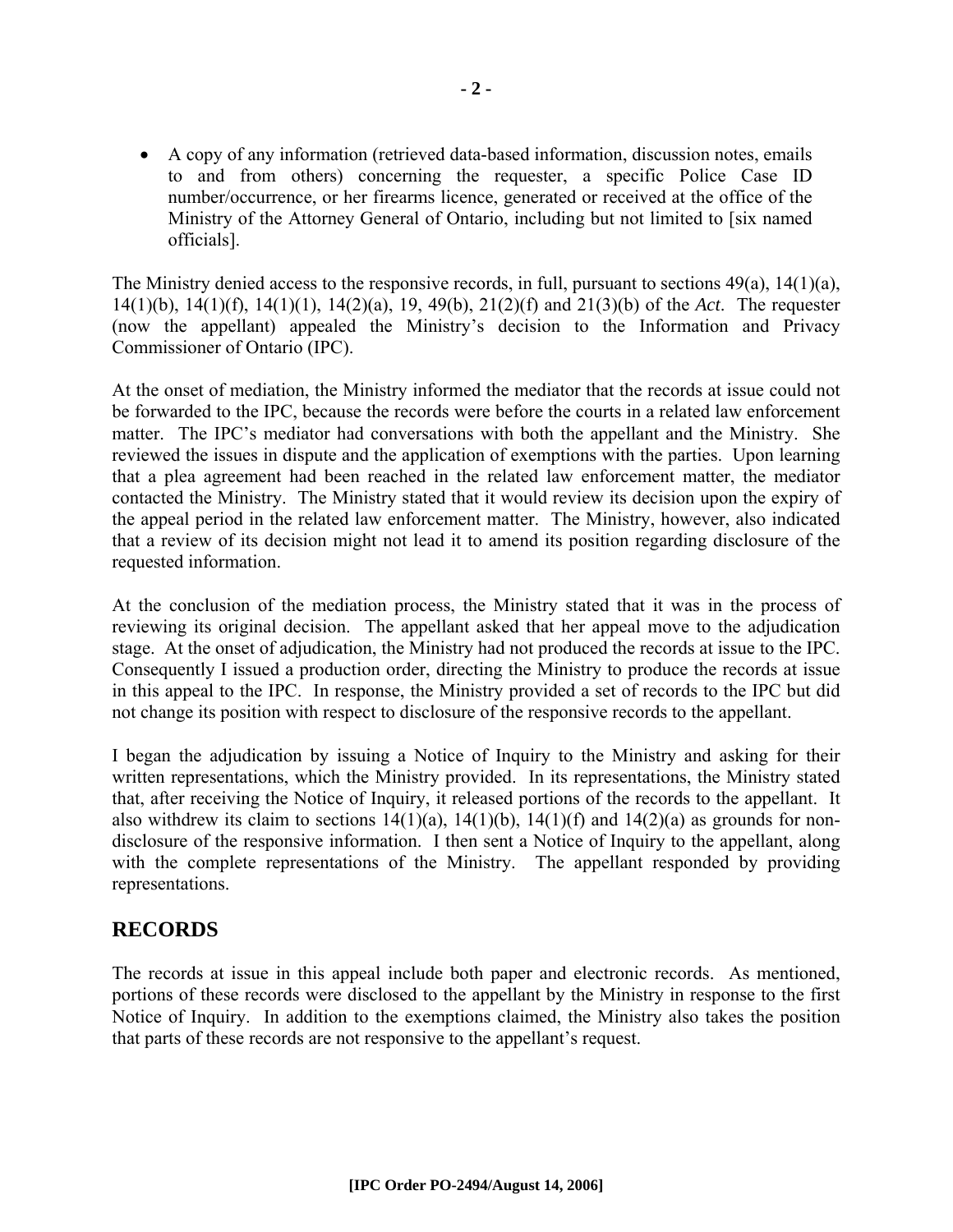• A copy of any information (retrieved data-based information, discussion notes, emails to and from others) concerning the requester, a specific Police Case ID number/occurrence, or her firearms licence, generated or received at the office of the Ministry of the Attorney General of Ontario, including but not limited to [six named officials].

The Ministry denied access to the responsive records, in full, pursuant to sections  $49(a)$ ,  $14(1)(a)$ , 14(1)(b), 14(1)(f), 14(1)(1), 14(2)(a), 19, 49(b), 21(2)(f) and 21(3)(b) of the *Act*. The requester (now the appellant) appealed the Ministry's decision to the Information and Privacy Commissioner of Ontario (IPC).

At the onset of mediation, the Ministry informed the mediator that the records at issue could not be forwarded to the IPC, because the records were before the courts in a related law enforcement matter. The IPC's mediator had conversations with both the appellant and the Ministry. She reviewed the issues in dispute and the application of exemptions with the parties. Upon learning that a plea agreement had been reached in the related law enforcement matter, the mediator contacted the Ministry. The Ministry stated that it would review its decision upon the expiry of the appeal period in the related law enforcement matter. The Ministry, however, also indicated that a review of its decision might not lead it to amend its position regarding disclosure of the requested information.

At the conclusion of the mediation process, the Ministry stated that it was in the process of reviewing its original decision. The appellant asked that her appeal move to the adjudication stage. At the onset of adjudication, the Ministry had not produced the records at issue to the IPC. Consequently I issued a production order, directing the Ministry to produce the records at issue in this appeal to the IPC. In response, the Ministry provided a set of records to the IPC but did not change its position with respect to disclosure of the responsive records to the appellant.

I began the adjudication by issuing a Notice of Inquiry to the Ministry and asking for their written representations, which the Ministry provided. In its representations, the Ministry stated that, after receiving the Notice of Inquiry, it released portions of the records to the appellant. It also withdrew its claim to sections  $14(1)(a)$ ,  $14(1)(b)$ ,  $14(1)(f)$  and  $14(2)(a)$  as grounds for nondisclosure of the responsive information. I then sent a Notice of Inquiry to the appellant, along with the complete representations of the Ministry. The appellant responded by providing representations.

## **RECORDS**

The records at issue in this appeal include both paper and electronic records. As mentioned, portions of these records were disclosed to the appellant by the Ministry in response to the first Notice of Inquiry. In addition to the exemptions claimed, the Ministry also takes the position that parts of these records are not responsive to the appellant's request.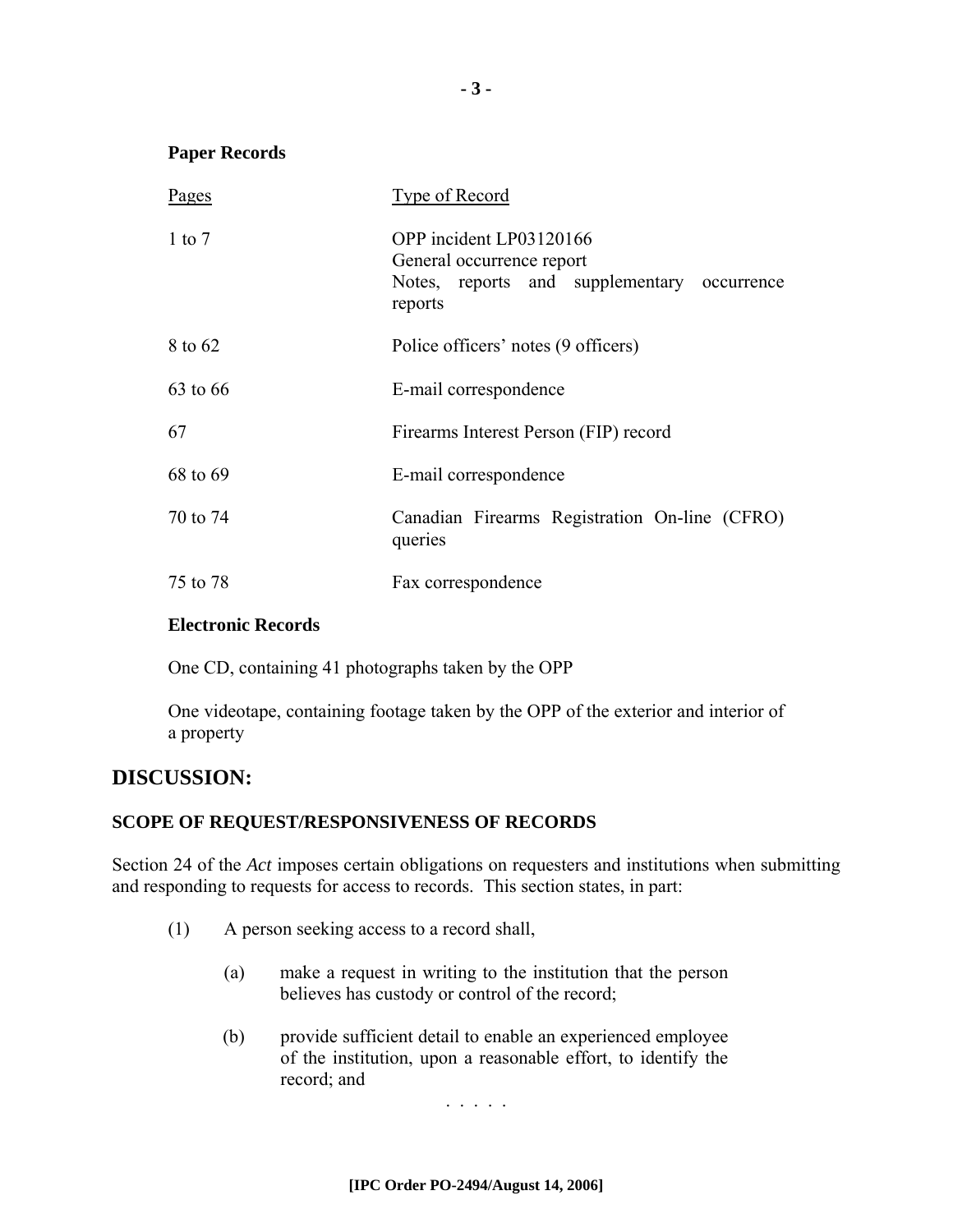#### **Paper Records**

| Pages      | Type of Record                                                                                                 |
|------------|----------------------------------------------------------------------------------------------------------------|
| $1$ to $7$ | OPP incident LP03120166<br>General occurrence report<br>Notes, reports and supplementary occurrence<br>reports |
| 8 to 62    | Police officers' notes (9 officers)                                                                            |
| 63 to 66   | E-mail correspondence                                                                                          |
| 67         | Firearms Interest Person (FIP) record                                                                          |
| 68 to 69   | E-mail correspondence                                                                                          |
| 70 to 74   | Canadian Firearms Registration On-line (CFRO)<br>queries                                                       |
| 75 to 78   | Fax correspondence                                                                                             |

#### **Electronic Records**

One CD, containing 41 photographs taken by the OPP

One videotape, containing footage taken by the OPP of the exterior and interior of a property

## **DISCUSSION:**

#### **SCOPE OF REQUEST/RESPONSIVENESS OF RECORDS**

Section 24 of the *Act* imposes certain obligations on requesters and institutions when submitting and responding to requests for access to records. This section states, in part:

- (1) A person seeking access to a record shall,
	- (a) make a request in writing to the institution that the person believes has custody or control of the record;
	- (b) provide sufficient detail to enable an experienced employee of the institution, upon a reasonable effort, to identify the record; and

. . . . .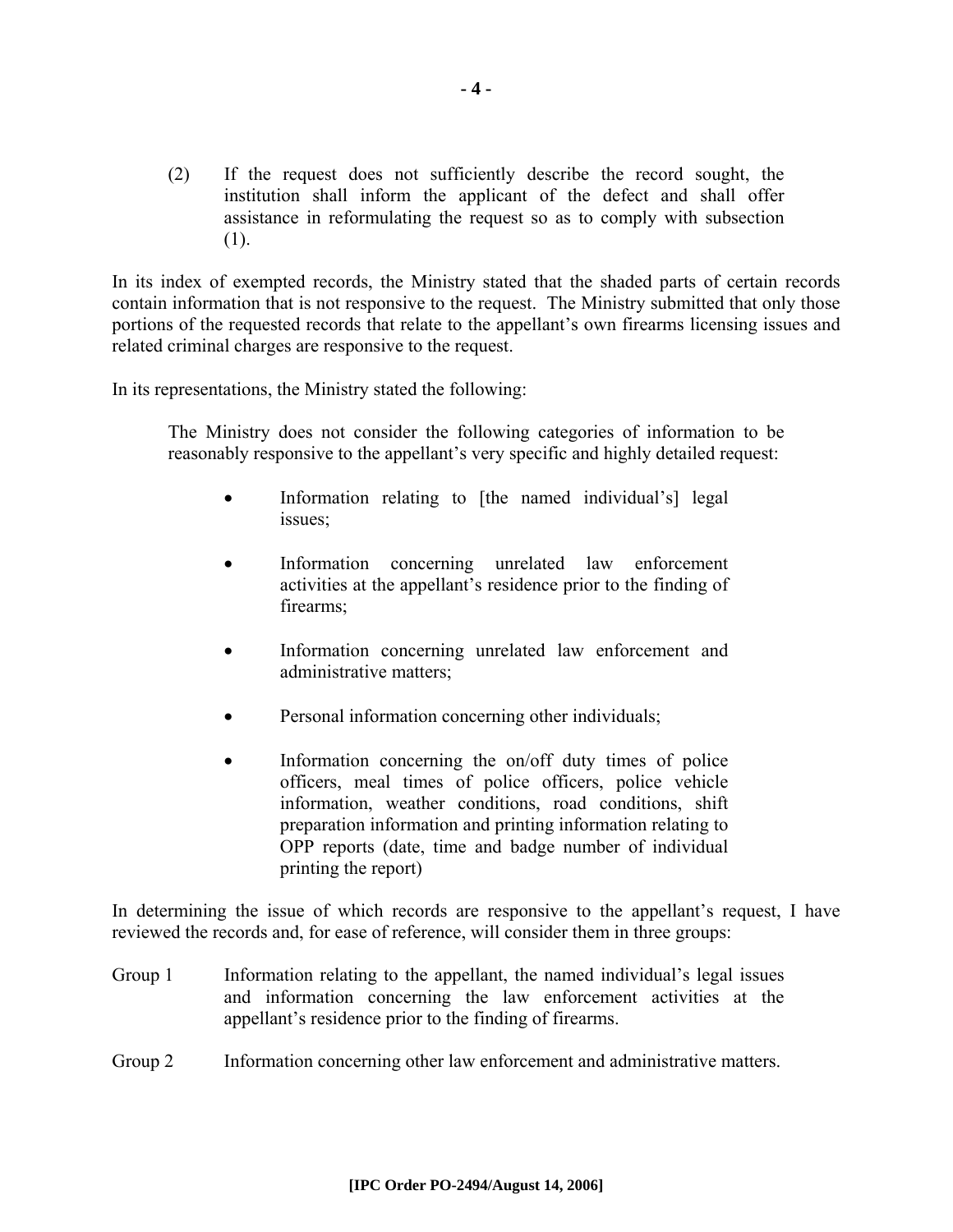(2) If the request does not sufficiently describe the record sought, the institution shall inform the applicant of the defect and shall offer assistance in reformulating the request so as to comply with subsection (1).

In its index of exempted records, the Ministry stated that the shaded parts of certain records contain information that is not responsive to the request. The Ministry submitted that only those portions of the requested records that relate to the appellant's own firearms licensing issues and related criminal charges are responsive to the request.

In its representations, the Ministry stated the following:

The Ministry does not consider the following categories of information to be reasonably responsive to the appellant's very specific and highly detailed request:

- Information relating to [the named individual's] legal issues;
- Information concerning unrelated law enforcement activities at the appellant's residence prior to the finding of firearms;
- Information concerning unrelated law enforcement and administrative matters;
- Personal information concerning other individuals;
- Information concerning the on/off duty times of police officers, meal times of police officers, police vehicle information, weather conditions, road conditions, shift preparation information and printing information relating to OPP reports (date, time and badge number of individual printing the report)

In determining the issue of which records are responsive to the appellant's request, I have reviewed the records and, for ease of reference, will consider them in three groups:

- Group 1 Information relating to the appellant, the named individual's legal issues and information concerning the law enforcement activities at the appellant's residence prior to the finding of firearms.
- Group 2 Information concerning other law enforcement and administrative matters.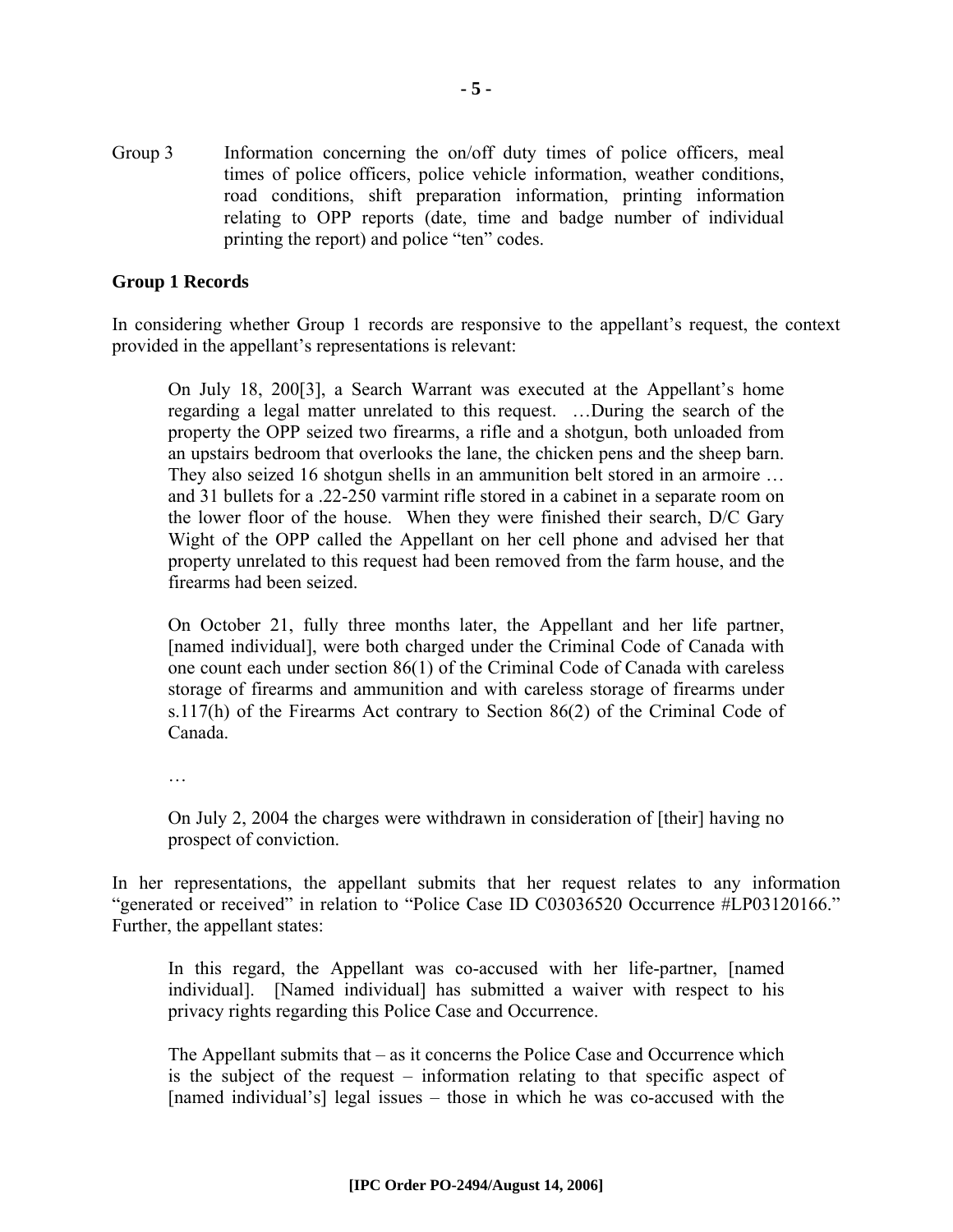Group 3 Information concerning the on/off duty times of police officers, meal times of police officers, police vehicle information, weather conditions, road conditions, shift preparation information, printing information relating to OPP reports (date, time and badge number of individual printing the report) and police "ten" codes.

#### **Group 1 Records**

In considering whether Group 1 records are responsive to the appellant's request, the context provided in the appellant's representations is relevant:

On July 18, 200[3], a Search Warrant was executed at the Appellant's home regarding a legal matter unrelated to this request. …During the search of the property the OPP seized two firearms, a rifle and a shotgun, both unloaded from an upstairs bedroom that overlooks the lane, the chicken pens and the sheep barn. They also seized 16 shotgun shells in an ammunition belt stored in an armoire … and 31 bullets for a .22-250 varmint rifle stored in a cabinet in a separate room on the lower floor of the house. When they were finished their search, D/C Gary Wight of the OPP called the Appellant on her cell phone and advised her that property unrelated to this request had been removed from the farm house, and the firearms had been seized.

On October 21, fully three months later, the Appellant and her life partner, [named individual], were both charged under the Criminal Code of Canada with one count each under section 86(1) of the Criminal Code of Canada with careless storage of firearms and ammunition and with careless storage of firearms under s.117(h) of the Firearms Act contrary to Section 86(2) of the Criminal Code of Canada.

…

On July 2, 2004 the charges were withdrawn in consideration of [their] having no prospect of conviction.

In her representations, the appellant submits that her request relates to any information "generated or received" in relation to "Police Case ID C03036520 Occurrence #LP03120166." Further, the appellant states:

In this regard, the Appellant was co-accused with her life-partner, [named individual]. [Named individual] has submitted a waiver with respect to his privacy rights regarding this Police Case and Occurrence.

The Appellant submits that – as it concerns the Police Case and Occurrence which is the subject of the request – information relating to that specific aspect of [named individual's] legal issues – those in which he was co-accused with the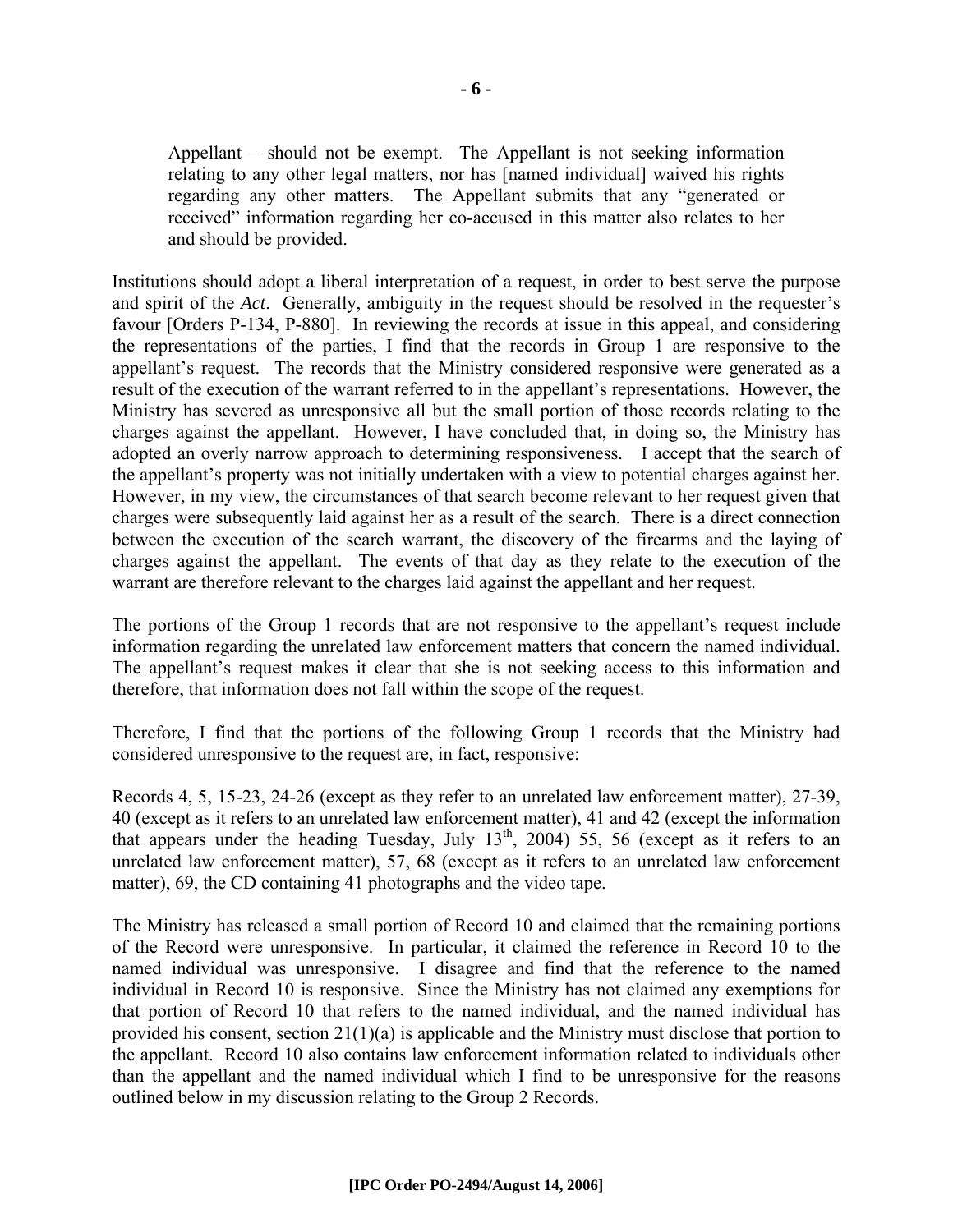Appellant – should not be exempt. The Appellant is not seeking information relating to any other legal matters, nor has [named individual] waived his rights regarding any other matters. The Appellant submits that any "generated or received" information regarding her co-accused in this matter also relates to her and should be provided.

Institutions should adopt a liberal interpretation of a request, in order to best serve the purpose and spirit of the *Act*. Generally, ambiguity in the request should be resolved in the requester's favour [Orders P-134, P-880]. In reviewing the records at issue in this appeal, and considering the representations of the parties, I find that the records in Group 1 are responsive to the appellant's request. The records that the Ministry considered responsive were generated as a result of the execution of the warrant referred to in the appellant's representations. However, the Ministry has severed as unresponsive all but the small portion of those records relating to the charges against the appellant. However, I have concluded that, in doing so, the Ministry has adopted an overly narrow approach to determining responsiveness. I accept that the search of the appellant's property was not initially undertaken with a view to potential charges against her. However, in my view, the circumstances of that search become relevant to her request given that charges were subsequently laid against her as a result of the search. There is a direct connection between the execution of the search warrant, the discovery of the firearms and the laying of charges against the appellant. The events of that day as they relate to the execution of the warrant are therefore relevant to the charges laid against the appellant and her request.

The portions of the Group 1 records that are not responsive to the appellant's request include information regarding the unrelated law enforcement matters that concern the named individual. The appellant's request makes it clear that she is not seeking access to this information and therefore, that information does not fall within the scope of the request.

Therefore, I find that the portions of the following Group 1 records that the Ministry had considered unresponsive to the request are, in fact, responsive:

Records 4, 5, 15-23, 24-26 (except as they refer to an unrelated law enforcement matter), 27-39, 40 (except as it refers to an unrelated law enforcement matter), 41 and 42 (except the information that appears under the heading Tuesday, July  $13<sup>th</sup>$ , 2004) 55, 56 (except as it refers to an unrelated law enforcement matter), 57, 68 (except as it refers to an unrelated law enforcement matter), 69, the CD containing 41 photographs and the video tape.

The Ministry has released a small portion of Record 10 and claimed that the remaining portions of the Record were unresponsive. In particular, it claimed the reference in Record 10 to the named individual was unresponsive. I disagree and find that the reference to the named individual in Record 10 is responsive. Since the Ministry has not claimed any exemptions for that portion of Record 10 that refers to the named individual, and the named individual has provided his consent, section 21(1)(a) is applicable and the Ministry must disclose that portion to the appellant. Record 10 also contains law enforcement information related to individuals other than the appellant and the named individual which I find to be unresponsive for the reasons outlined below in my discussion relating to the Group 2 Records.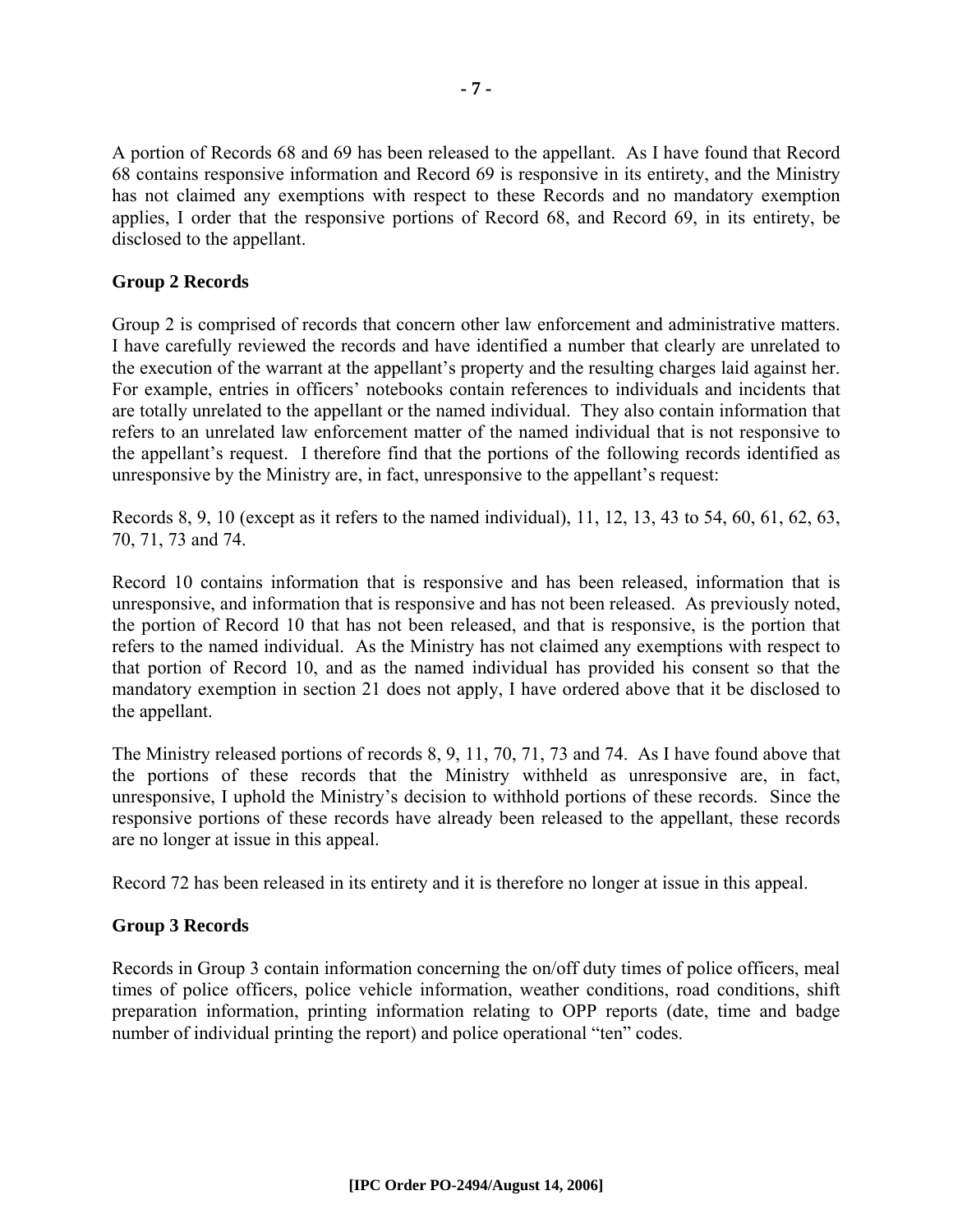A portion of Records 68 and 69 has been released to the appellant. As I have found that Record 68 contains responsive information and Record 69 is responsive in its entirety, and the Ministry has not claimed any exemptions with respect to these Records and no mandatory exemption applies, I order that the responsive portions of Record 68, and Record 69, in its entirety, be disclosed to the appellant.

#### **Group 2 Records**

Group 2 is comprised of records that concern other law enforcement and administrative matters. I have carefully reviewed the records and have identified a number that clearly are unrelated to the execution of the warrant at the appellant's property and the resulting charges laid against her. For example, entries in officers' notebooks contain references to individuals and incidents that are totally unrelated to the appellant or the named individual. They also contain information that refers to an unrelated law enforcement matter of the named individual that is not responsive to the appellant's request. I therefore find that the portions of the following records identified as unresponsive by the Ministry are, in fact, unresponsive to the appellant's request:

Records 8, 9, 10 (except as it refers to the named individual), 11, 12, 13, 43 to 54, 60, 61, 62, 63, 70, 71, 73 and 74.

Record 10 contains information that is responsive and has been released, information that is unresponsive, and information that is responsive and has not been released. As previously noted, the portion of Record 10 that has not been released, and that is responsive, is the portion that refers to the named individual. As the Ministry has not claimed any exemptions with respect to that portion of Record 10, and as the named individual has provided his consent so that the mandatory exemption in section 21 does not apply, I have ordered above that it be disclosed to the appellant.

The Ministry released portions of records 8, 9, 11, 70, 71, 73 and 74. As I have found above that the portions of these records that the Ministry withheld as unresponsive are, in fact, unresponsive, I uphold the Ministry's decision to withhold portions of these records. Since the responsive portions of these records have already been released to the appellant, these records are no longer at issue in this appeal.

Record 72 has been released in its entirety and it is therefore no longer at issue in this appeal.

#### **Group 3 Records**

Records in Group 3 contain information concerning the on/off duty times of police officers, meal times of police officers, police vehicle information, weather conditions, road conditions, shift preparation information, printing information relating to OPP reports (date, time and badge number of individual printing the report) and police operational "ten" codes.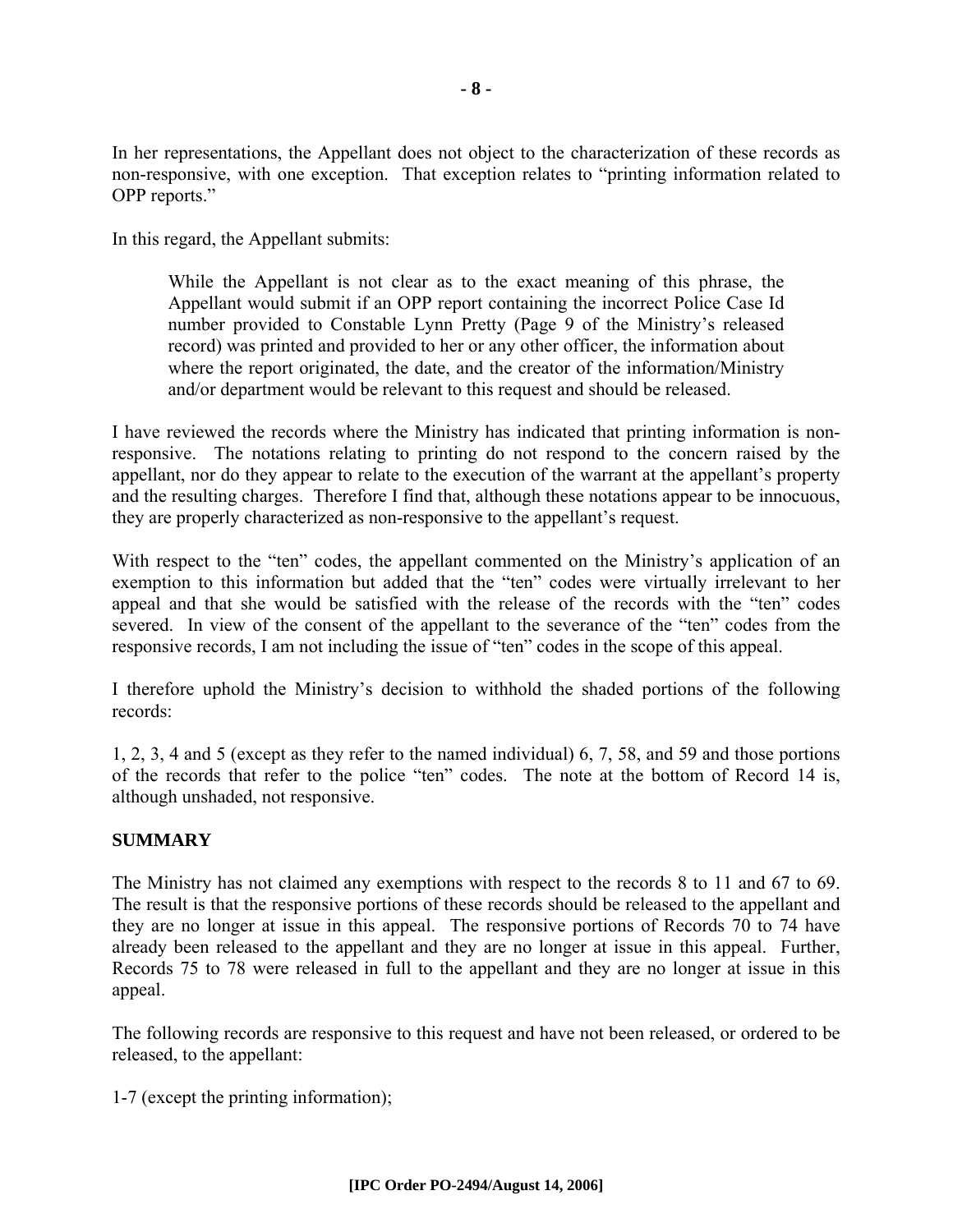In her representations, the Appellant does not object to the characterization of these records as non-responsive, with one exception. That exception relates to "printing information related to OPP reports."

In this regard, the Appellant submits:

While the Appellant is not clear as to the exact meaning of this phrase, the Appellant would submit if an OPP report containing the incorrect Police Case Id number provided to Constable Lynn Pretty (Page 9 of the Ministry's released record) was printed and provided to her or any other officer, the information about where the report originated, the date, and the creator of the information/Ministry and/or department would be relevant to this request and should be released.

I have reviewed the records where the Ministry has indicated that printing information is nonresponsive. The notations relating to printing do not respond to the concern raised by the appellant, nor do they appear to relate to the execution of the warrant at the appellant's property and the resulting charges. Therefore I find that, although these notations appear to be innocuous, they are properly characterized as non-responsive to the appellant's request.

With respect to the "ten" codes, the appellant commented on the Ministry's application of an exemption to this information but added that the "ten" codes were virtually irrelevant to her appeal and that she would be satisfied with the release of the records with the "ten" codes severed. In view of the consent of the appellant to the severance of the "ten" codes from the responsive records, I am not including the issue of "ten" codes in the scope of this appeal.

I therefore uphold the Ministry's decision to withhold the shaded portions of the following records:

1, 2, 3, 4 and 5 (except as they refer to the named individual) 6, 7, 58, and 59 and those portions of the records that refer to the police "ten" codes. The note at the bottom of Record 14 is, although unshaded, not responsive.

#### **SUMMARY**

The Ministry has not claimed any exemptions with respect to the records 8 to 11 and 67 to 69. The result is that the responsive portions of these records should be released to the appellant and they are no longer at issue in this appeal. The responsive portions of Records 70 to 74 have already been released to the appellant and they are no longer at issue in this appeal. Further, Records 75 to 78 were released in full to the appellant and they are no longer at issue in this appeal.

The following records are responsive to this request and have not been released, or ordered to be released, to the appellant:

1-7 (except the printing information);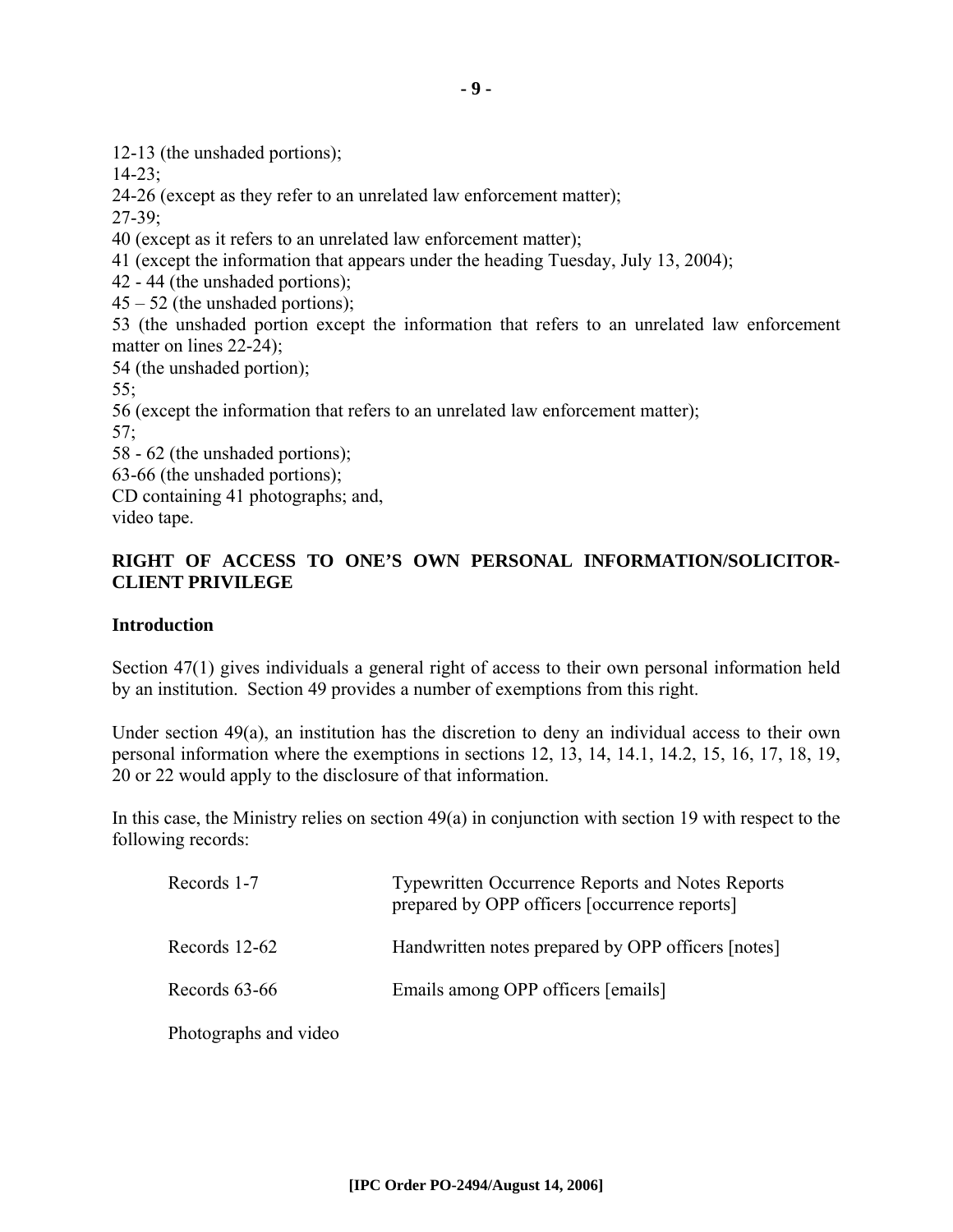12-13 (the unshaded portions);

14-23;

24-26 (except as they refer to an unrelated law enforcement matter);

27-39;

40 (except as it refers to an unrelated law enforcement matter);

41 (except the information that appears under the heading Tuesday, July 13, 2004);

42 - 44 (the unshaded portions);

 $45 - 52$  (the unshaded portions);

53 (the unshaded portion except the information that refers to an unrelated law enforcement matter on lines 22-24);

54 (the unshaded portion);

55;

56 (except the information that refers to an unrelated law enforcement matter);

57;

58 - 62 (the unshaded portions);

63-66 (the unshaded portions);

CD containing 41 photographs; and,

video tape.

#### **RIGHT OF ACCESS TO ONE'S OWN PERSONAL INFORMATION/SOLICITOR-CLIENT PRIVILEGE**

#### **Introduction**

Section 47(1) gives individuals a general right of access to their own personal information held by an institution. Section 49 provides a number of exemptions from this right.

Under section 49(a), an institution has the discretion to deny an individual access to their own personal information where the exemptions in sections 12, 13, 14, 14.1, 14.2, 15, 16, 17, 18, 19, 20 or 22 would apply to the disclosure of that information.

In this case, the Ministry relies on section 49(a) in conjunction with section 19 with respect to the following records:

| Records 1-7   | <b>Typewritten Occurrence Reports and Notes Reports</b><br>prepared by OPP officers [occurrence reports] |
|---------------|----------------------------------------------------------------------------------------------------------|
| Records 12-62 | Handwritten notes prepared by OPP officers [notes]                                                       |
| Records 63-66 | Emails among OPP officers [emails]                                                                       |
|               |                                                                                                          |

Photographs and video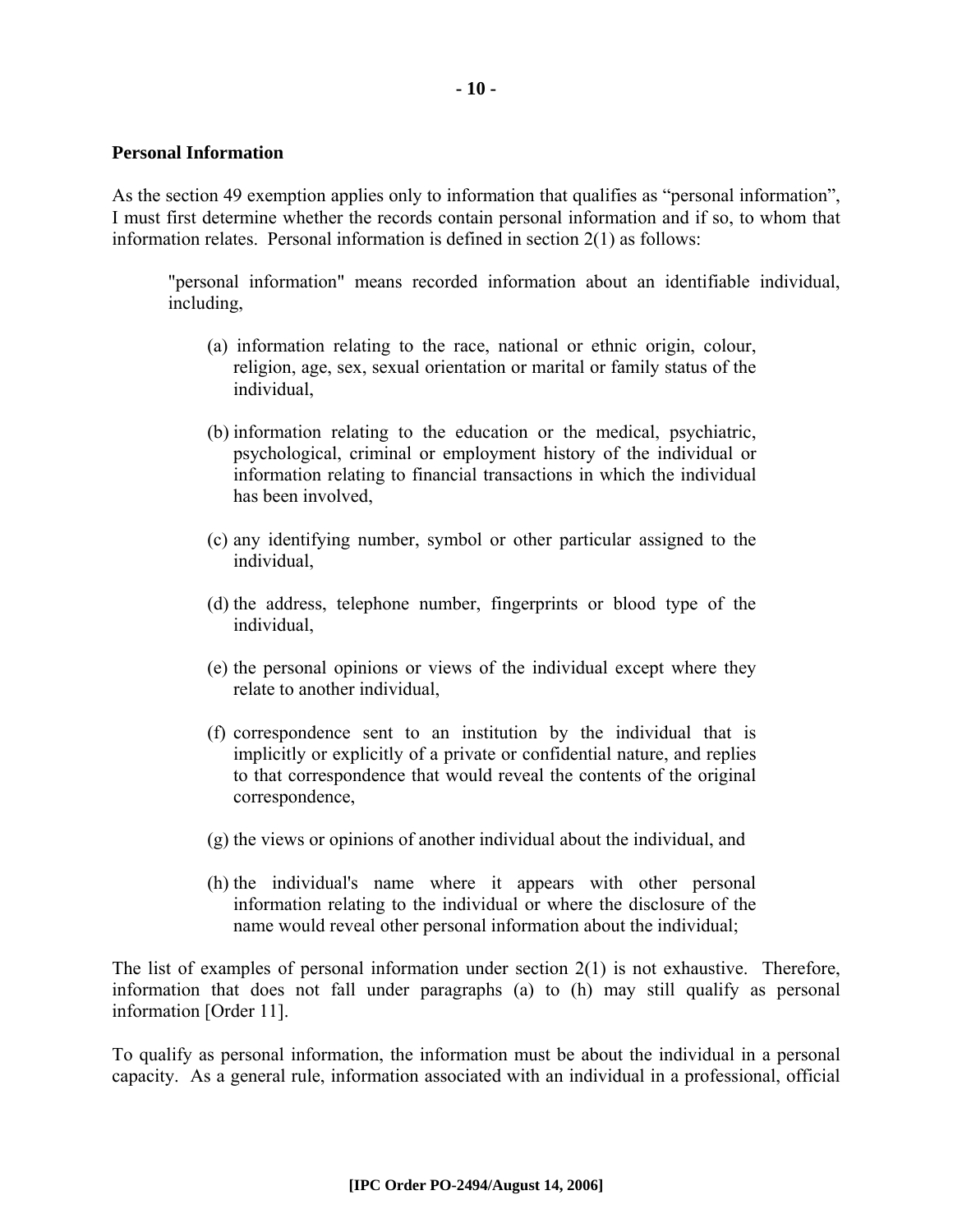#### **Personal Information**

As the section 49 exemption applies only to information that qualifies as "personal information", I must first determine whether the records contain personal information and if so, to whom that information relates. Personal information is defined in section 2(1) as follows:

"personal information" means recorded information about an identifiable individual, including,

- (a) information relating to the race, national or ethnic origin, colour, religion, age, sex, sexual orientation or marital or family status of the individual,
- (b) information relating to the education or the medical, psychiatric, psychological, criminal or employment history of the individual or information relating to financial transactions in which the individual has been involved,
- (c) any identifying number, symbol or other particular assigned to the individual,
- (d) the address, telephone number, fingerprints or blood type of the individual,
- (e) the personal opinions or views of the individual except where they relate to another individual,
- (f) correspondence sent to an institution by the individual that is implicitly or explicitly of a private or confidential nature, and replies to that correspondence that would reveal the contents of the original correspondence,
- (g) the views or opinions of another individual about the individual, and
- (h) the individual's name where it appears with other personal information relating to the individual or where the disclosure of the name would reveal other personal information about the individual;

The list of examples of personal information under section  $2(1)$  is not exhaustive. Therefore, information that does not fall under paragraphs (a) to (h) may still qualify as personal information [Order 11].

To qualify as personal information, the information must be about the individual in a personal capacity. As a general rule, information associated with an individual in a professional, official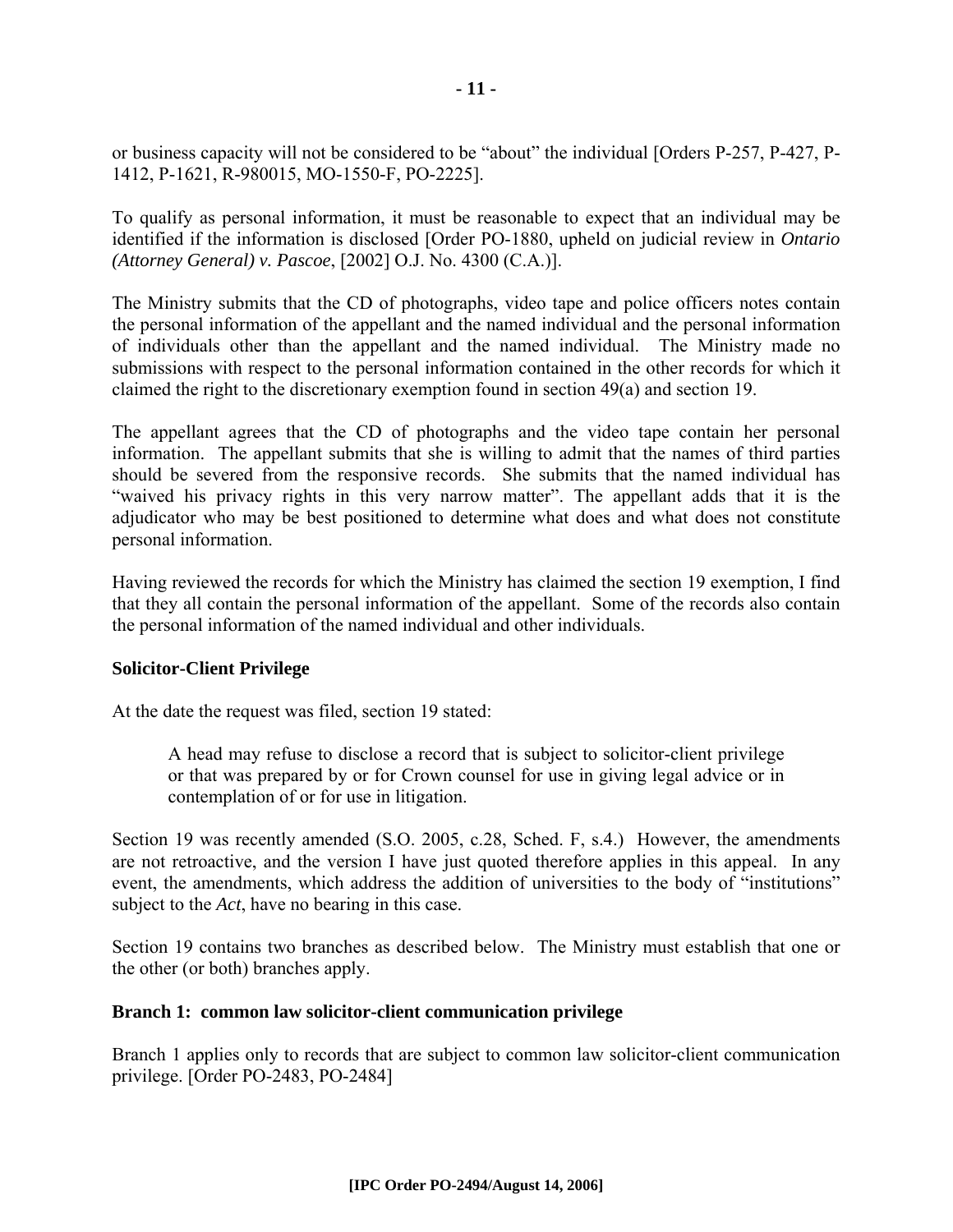or business capacity will not be considered to be "about" the individual [Orders P-257, P-427, P-1412, P-1621, R-980015, MO-1550-F, PO-2225].

To qualify as personal information, it must be reasonable to expect that an individual may be identified if the information is disclosed [Order PO-1880, upheld on judicial review in *Ontario (Attorney General) v. Pascoe*, [2002] O.J. No. 4300 (C.A.)].

The Ministry submits that the CD of photographs, video tape and police officers notes contain the personal information of the appellant and the named individual and the personal information of individuals other than the appellant and the named individual. The Ministry made no submissions with respect to the personal information contained in the other records for which it claimed the right to the discretionary exemption found in section 49(a) and section 19.

The appellant agrees that the CD of photographs and the video tape contain her personal information. The appellant submits that she is willing to admit that the names of third parties should be severed from the responsive records. She submits that the named individual has "waived his privacy rights in this very narrow matter". The appellant adds that it is the adjudicator who may be best positioned to determine what does and what does not constitute personal information.

Having reviewed the records for which the Ministry has claimed the section 19 exemption, I find that they all contain the personal information of the appellant. Some of the records also contain the personal information of the named individual and other individuals.

#### **Solicitor-Client Privilege**

At the date the request was filed, section 19 stated:

A head may refuse to disclose a record that is subject to solicitor-client privilege or that was prepared by or for Crown counsel for use in giving legal advice or in contemplation of or for use in litigation.

Section 19 was recently amended (S.O. 2005, c.28, Sched. F, s.4.) However, the amendments are not retroactive, and the version I have just quoted therefore applies in this appeal. In any event, the amendments, which address the addition of universities to the body of "institutions" subject to the *Act*, have no bearing in this case.

Section 19 contains two branches as described below. The Ministry must establish that one or the other (or both) branches apply.

#### **Branch 1: common law solicitor-client communication privilege**

Branch 1 applies only to records that are subject to common law solicitor-client communication privilege. [Order PO-2483, PO-2484]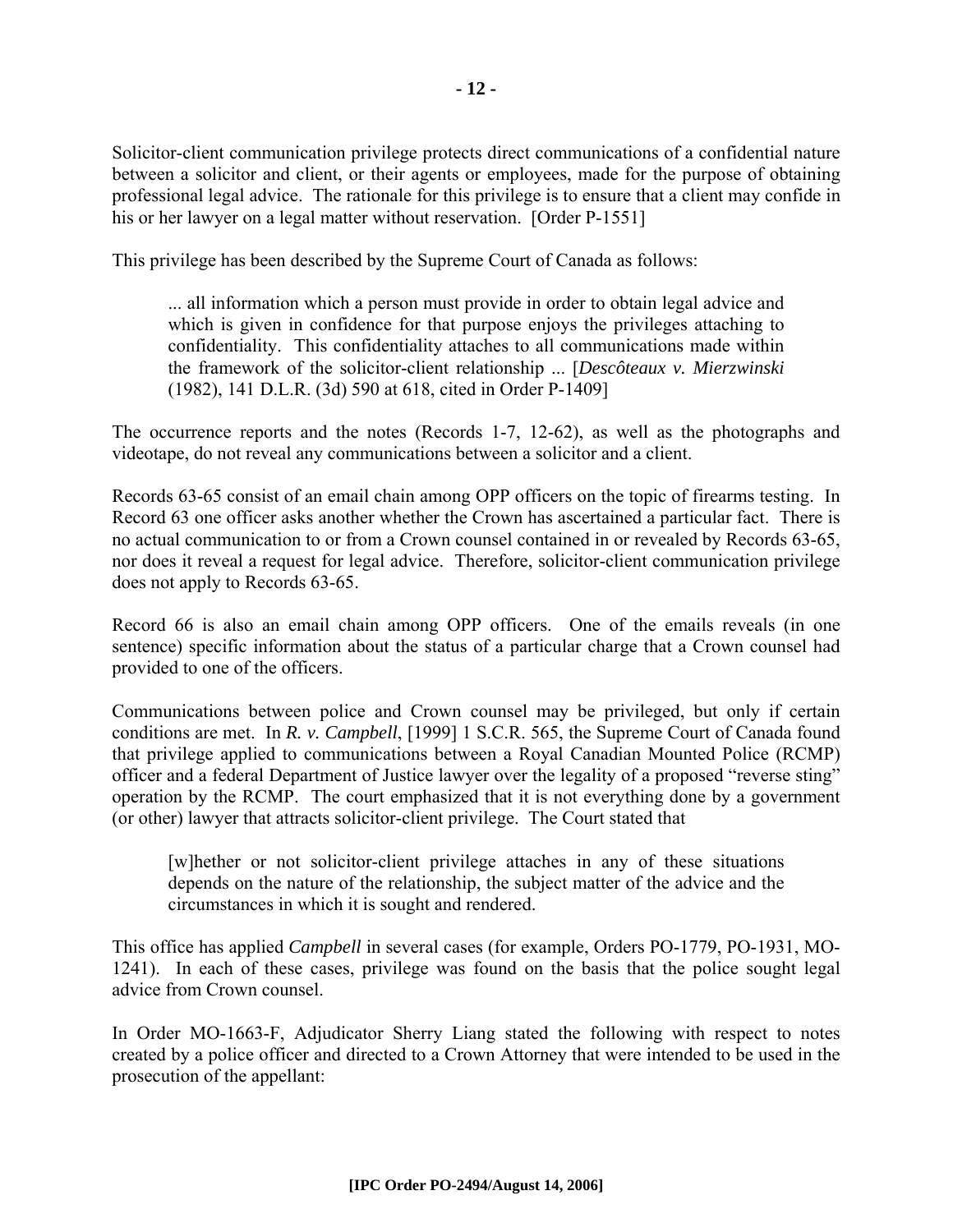Solicitor-client communication privilege protects direct communications of a confidential nature between a solicitor and client, or their agents or employees, made for the purpose of obtaining professional legal advice. The rationale for this privilege is to ensure that a client may confide in his or her lawyer on a legal matter without reservation. [Order P-1551]

This privilege has been described by the Supreme Court of Canada as follows:

... all information which a person must provide in order to obtain legal advice and which is given in confidence for that purpose enjoys the privileges attaching to confidentiality. This confidentiality attaches to all communications made within the framework of the solicitor-client relationship ... [*Descôteaux v. Mierzwinski* (1982), 141 D.L.R. (3d) 590 at 618, cited in Order P-1409]

The occurrence reports and the notes (Records 1-7, 12-62), as well as the photographs and videotape, do not reveal any communications between a solicitor and a client.

Records 63-65 consist of an email chain among OPP officers on the topic of firearms testing. In Record 63 one officer asks another whether the Crown has ascertained a particular fact. There is no actual communication to or from a Crown counsel contained in or revealed by Records 63-65, nor does it reveal a request for legal advice. Therefore, solicitor-client communication privilege does not apply to Records 63-65.

Record 66 is also an email chain among OPP officers. One of the emails reveals (in one sentence) specific information about the status of a particular charge that a Crown counsel had provided to one of the officers.

Communications between police and Crown counsel may be privileged, but only if certain conditions are met. In *R. v. Campbell*, [1999] 1 S.C.R. 565, the Supreme Court of Canada found that privilege applied to communications between a Royal Canadian Mounted Police (RCMP) officer and a federal Department of Justice lawyer over the legality of a proposed "reverse sting" operation by the RCMP. The court emphasized that it is not everything done by a government (or other) lawyer that attracts solicitor-client privilege. The Court stated that

[w]hether or not solicitor-client privilege attaches in any of these situations depends on the nature of the relationship, the subject matter of the advice and the circumstances in which it is sought and rendered.

This office has applied *Campbell* in several cases (for example, Orders PO-1779, PO-1931, MO-1241). In each of these cases, privilege was found on the basis that the police sought legal advice from Crown counsel.

In Order MO-1663-F, Adjudicator Sherry Liang stated the following with respect to notes created by a police officer and directed to a Crown Attorney that were intended to be used in the prosecution of the appellant: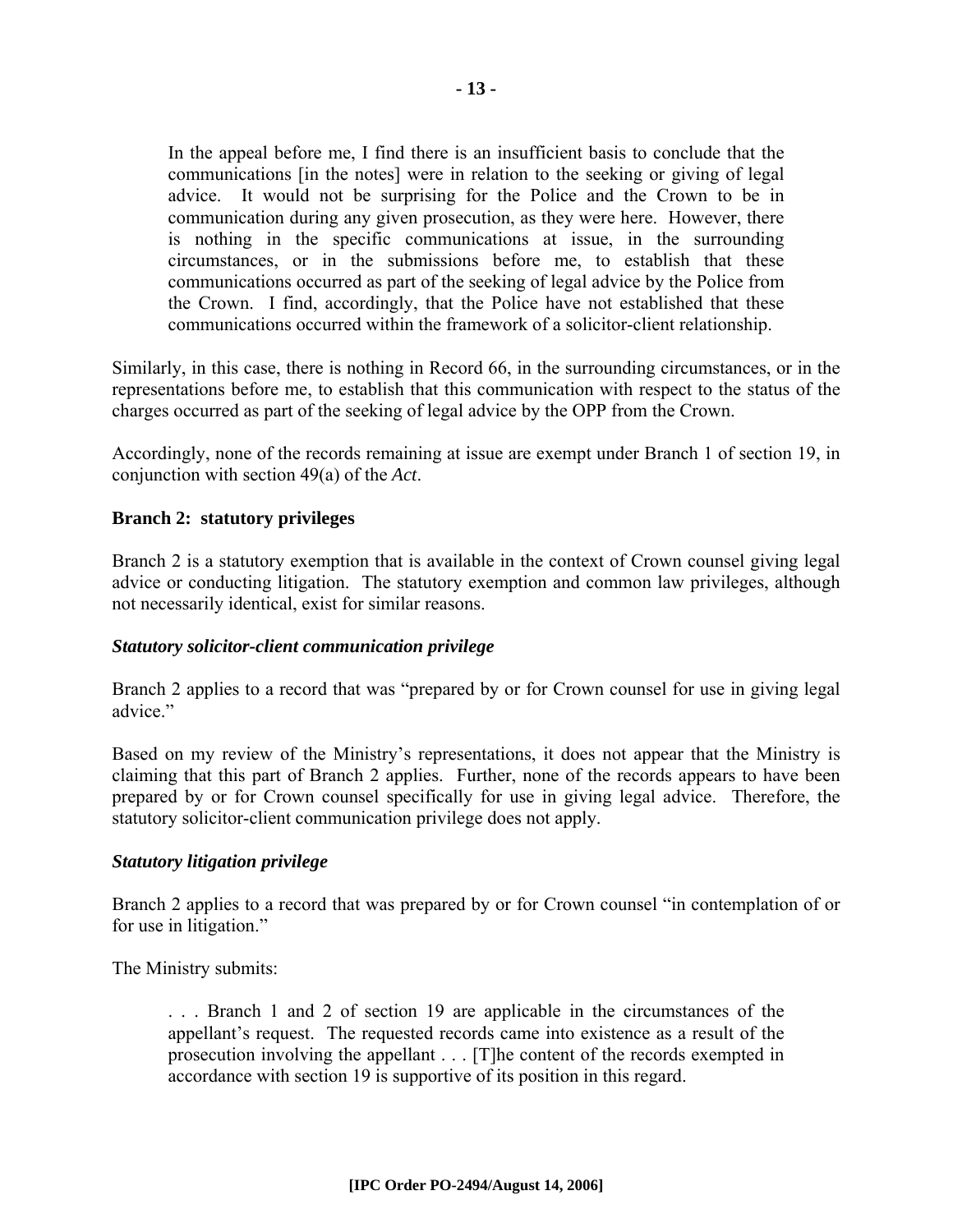In the appeal before me, I find there is an insufficient basis to conclude that the communications [in the notes] were in relation to the seeking or giving of legal advice. It would not be surprising for the Police and the Crown to be in communication during any given prosecution, as they were here. However, there is nothing in the specific communications at issue, in the surrounding circumstances, or in the submissions before me, to establish that these communications occurred as part of the seeking of legal advice by the Police from the Crown. I find, accordingly, that the Police have not established that these communications occurred within the framework of a solicitor-client relationship.

Similarly, in this case, there is nothing in Record 66, in the surrounding circumstances, or in the representations before me, to establish that this communication with respect to the status of the charges occurred as part of the seeking of legal advice by the OPP from the Crown.

Accordingly, none of the records remaining at issue are exempt under Branch 1 of section 19, in conjunction with section 49(a) of the *Act*.

#### **Branch 2: statutory privileges**

Branch 2 is a statutory exemption that is available in the context of Crown counsel giving legal advice or conducting litigation. The statutory exemption and common law privileges, although not necessarily identical, exist for similar reasons.

#### *Statutory solicitor-client communication privilege*

Branch 2 applies to a record that was "prepared by or for Crown counsel for use in giving legal advice."

Based on my review of the Ministry's representations, it does not appear that the Ministry is claiming that this part of Branch 2 applies. Further, none of the records appears to have been prepared by or for Crown counsel specifically for use in giving legal advice. Therefore, the statutory solicitor-client communication privilege does not apply.

#### *Statutory litigation privilege*

Branch 2 applies to a record that was prepared by or for Crown counsel "in contemplation of or for use in litigation."

The Ministry submits:

. . . Branch 1 and 2 of section 19 are applicable in the circumstances of the appellant's request. The requested records came into existence as a result of the prosecution involving the appellant . . . [T]he content of the records exempted in accordance with section 19 is supportive of its position in this regard.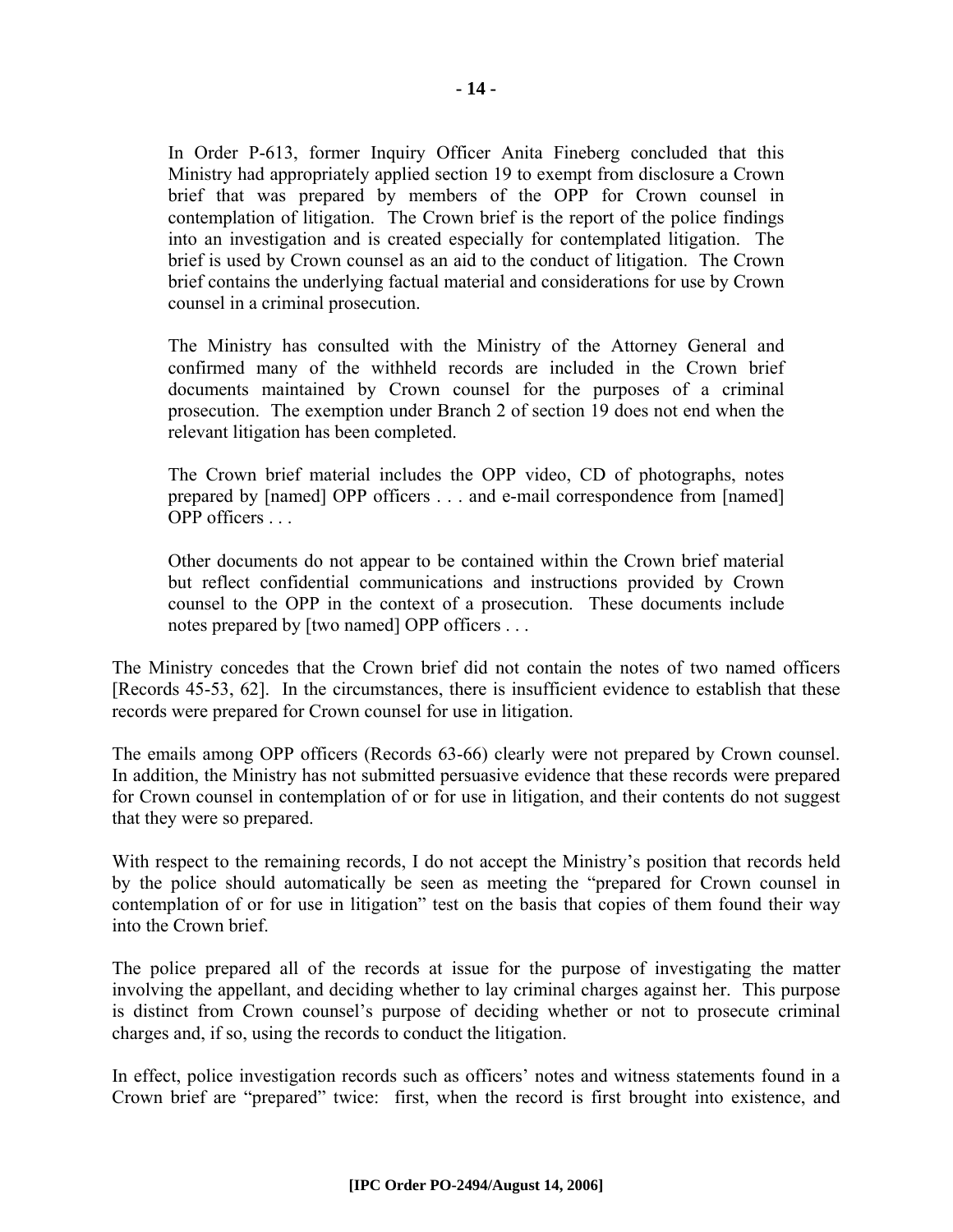In Order P-613, former Inquiry Officer Anita Fineberg concluded that this Ministry had appropriately applied section 19 to exempt from disclosure a Crown brief that was prepared by members of the OPP for Crown counsel in contemplation of litigation. The Crown brief is the report of the police findings into an investigation and is created especially for contemplated litigation. The brief is used by Crown counsel as an aid to the conduct of litigation. The Crown brief contains the underlying factual material and considerations for use by Crown counsel in a criminal prosecution.

The Ministry has consulted with the Ministry of the Attorney General and confirmed many of the withheld records are included in the Crown brief documents maintained by Crown counsel for the purposes of a criminal prosecution. The exemption under Branch 2 of section 19 does not end when the relevant litigation has been completed.

The Crown brief material includes the OPP video, CD of photographs, notes prepared by [named] OPP officers . . . and e-mail correspondence from [named] OPP officers

Other documents do not appear to be contained within the Crown brief material but reflect confidential communications and instructions provided by Crown counsel to the OPP in the context of a prosecution. These documents include notes prepared by [two named] OPP officers . . .

The Ministry concedes that the Crown brief did not contain the notes of two named officers [Records 45-53, 62]. In the circumstances, there is insufficient evidence to establish that these records were prepared for Crown counsel for use in litigation.

The emails among OPP officers (Records 63-66) clearly were not prepared by Crown counsel. In addition, the Ministry has not submitted persuasive evidence that these records were prepared for Crown counsel in contemplation of or for use in litigation, and their contents do not suggest that they were so prepared.

With respect to the remaining records, I do not accept the Ministry's position that records held by the police should automatically be seen as meeting the "prepared for Crown counsel in contemplation of or for use in litigation" test on the basis that copies of them found their way into the Crown brief.

The police prepared all of the records at issue for the purpose of investigating the matter involving the appellant, and deciding whether to lay criminal charges against her. This purpose is distinct from Crown counsel's purpose of deciding whether or not to prosecute criminal charges and, if so, using the records to conduct the litigation.

In effect, police investigation records such as officers' notes and witness statements found in a Crown brief are "prepared" twice: first, when the record is first brought into existence, and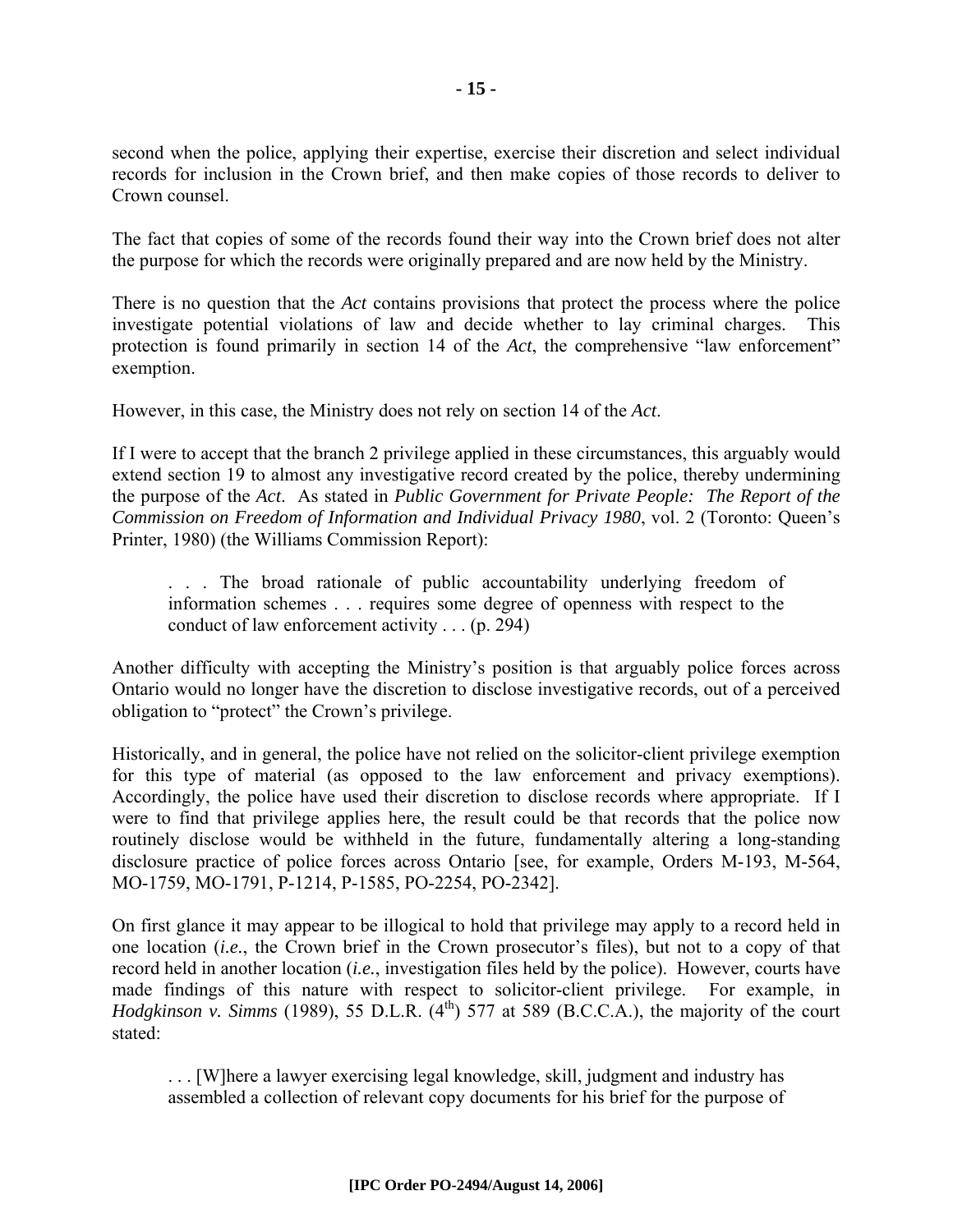second when the police, applying their expertise, exercise their discretion and select individual records for inclusion in the Crown brief, and then make copies of those records to deliver to Crown counsel.

The fact that copies of some of the records found their way into the Crown brief does not alter the purpose for which the records were originally prepared and are now held by the Ministry.

There is no question that the *Act* contains provisions that protect the process where the police investigate potential violations of law and decide whether to lay criminal charges. This protection is found primarily in section 14 of the *Act*, the comprehensive "law enforcement" exemption.

However, in this case, the Ministry does not rely on section 14 of the *Act*.

If I were to accept that the branch 2 privilege applied in these circumstances, this arguably would extend section 19 to almost any investigative record created by the police, thereby undermining the purpose of the *Act*. As stated in *Public Government for Private People: The Report of the Commission on Freedom of Information and Individual Privacy 1980*, vol. 2 (Toronto: Queen's Printer, 1980) (the Williams Commission Report):

. . . The broad rationale of public accountability underlying freedom of information schemes . . . requires some degree of openness with respect to the conduct of law enforcement activity . . . (p. 294)

Another difficulty with accepting the Ministry's position is that arguably police forces across Ontario would no longer have the discretion to disclose investigative records, out of a perceived obligation to "protect" the Crown's privilege.

Historically, and in general, the police have not relied on the solicitor-client privilege exemption for this type of material (as opposed to the law enforcement and privacy exemptions). Accordingly, the police have used their discretion to disclose records where appropriate. If I were to find that privilege applies here, the result could be that records that the police now routinely disclose would be withheld in the future, fundamentally altering a long-standing disclosure practice of police forces across Ontario [see, for example, Orders M-193, M-564, MO-1759, MO-1791, P-1214, P-1585, PO-2254, PO-2342].

On first glance it may appear to be illogical to hold that privilege may apply to a record held in one location (*i.e.*, the Crown brief in the Crown prosecutor's files), but not to a copy of that record held in another location (*i.e.*, investigation files held by the police). However, courts have made findings of this nature with respect to solicitor-client privilege. For example, in *Hodgkinson v. Simms* (1989), 55 D.L.R. (4<sup>th</sup>) 577 at 589 (B.C.C.A.), the majority of the court stated:

. . . [W]here a lawyer exercising legal knowledge, skill, judgment and industry has assembled a collection of relevant copy documents for his brief for the purpose of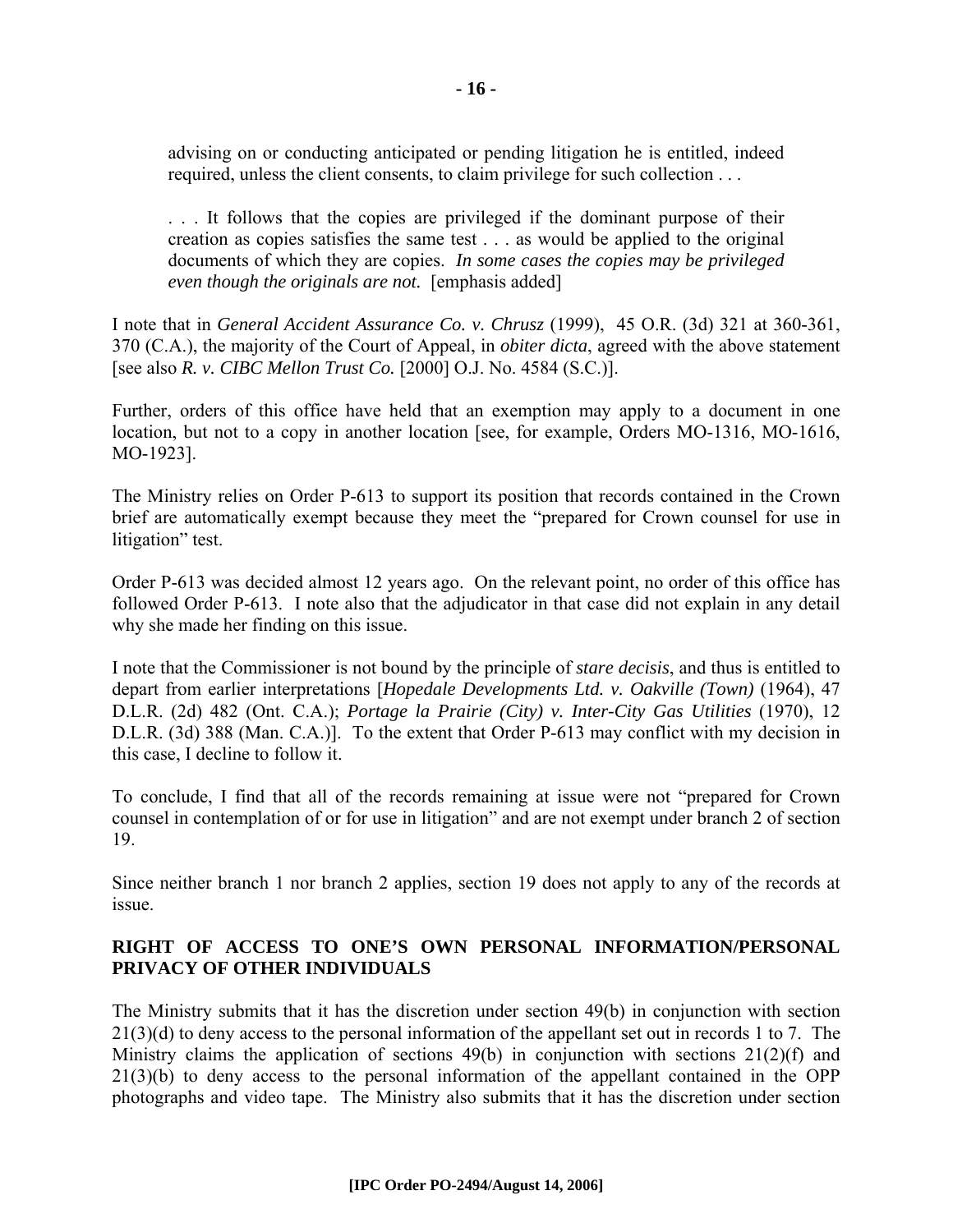advising on or conducting anticipated or pending litigation he is entitled, indeed required, unless the client consents, to claim privilege for such collection . . .

. . . It follows that the copies are privileged if the dominant purpose of their creation as copies satisfies the same test . . . as would be applied to the original documents of which they are copies. *In some cases the copies may be privileged even though the originals are not.* [emphasis added]

I note that in *General Accident Assurance Co. v. Chrusz* (1999), 45 O.R. (3d) 321 at 360-361, 370 (C.A.), the majority of the Court of Appeal, in *obiter dicta*, agreed with the above statement [see also *R. v. CIBC Mellon Trust Co.* [2000] O.J. No. 4584 (S.C.)].

Further, orders of this office have held that an exemption may apply to a document in one location, but not to a copy in another location [see, for example, Orders MO-1316, MO-1616, MO-1923].

The Ministry relies on Order P-613 to support its position that records contained in the Crown brief are automatically exempt because they meet the "prepared for Crown counsel for use in litigation" test.

Order P-613 was decided almost 12 years ago. On the relevant point, no order of this office has followed Order P-613. I note also that the adjudicator in that case did not explain in any detail why she made her finding on this issue.

I note that the Commissioner is not bound by the principle of *stare decisis*, and thus is entitled to depart from earlier interpretations [*Hopedale Developments Ltd. v. Oakville (Town)* (1964), 47 D.L.R. (2d) 482 (Ont. C.A.); *Portage la Prairie (City) v. Inter-City Gas Utilities* (1970), 12 D.L.R. (3d) 388 (Man. C.A.)]. To the extent that Order P-613 may conflict with my decision in this case, I decline to follow it.

To conclude, I find that all of the records remaining at issue were not "prepared for Crown counsel in contemplation of or for use in litigation" and are not exempt under branch 2 of section 19.

Since neither branch 1 nor branch 2 applies, section 19 does not apply to any of the records at issue.

#### **RIGHT OF ACCESS TO ONE'S OWN PERSONAL INFORMATION/PERSONAL PRIVACY OF OTHER INDIVIDUALS**

The Ministry submits that it has the discretion under section 49(b) in conjunction with section 21(3)(d) to deny access to the personal information of the appellant set out in records 1 to 7. The Ministry claims the application of sections 49(b) in conjunction with sections 21(2)(f) and 21(3)(b) to deny access to the personal information of the appellant contained in the OPP photographs and video tape. The Ministry also submits that it has the discretion under section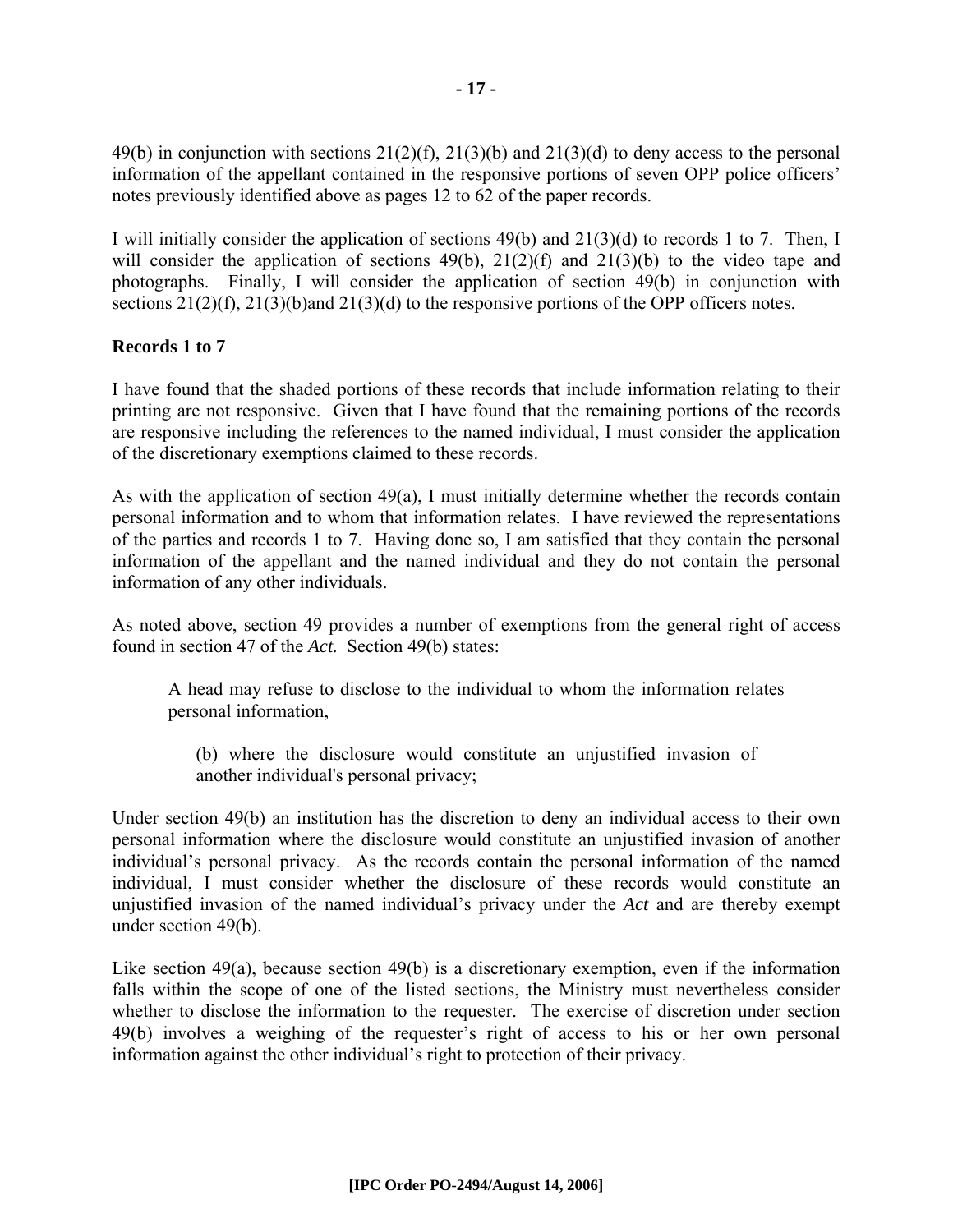49(b) in conjunction with sections  $21(2)(f)$ ,  $21(3)(b)$  and  $21(3)(d)$  to deny access to the personal information of the appellant contained in the responsive portions of seven OPP police officers' notes previously identified above as pages 12 to 62 of the paper records.

I will initially consider the application of sections 49(b) and 21(3)(d) to records 1 to 7. Then, I will consider the application of sections  $49(b)$ ,  $21(2)(f)$  and  $21(3)(b)$  to the video tape and photographs. Finally, I will consider the application of section 49(b) in conjunction with sections 21(2)(f), 21(3)(b)and 21(3)(d) to the responsive portions of the OPP officers notes.

#### **Records 1 to 7**

I have found that the shaded portions of these records that include information relating to their printing are not responsive. Given that I have found that the remaining portions of the records are responsive including the references to the named individual, I must consider the application of the discretionary exemptions claimed to these records.

As with the application of section 49(a), I must initially determine whether the records contain personal information and to whom that information relates. I have reviewed the representations of the parties and records 1 to 7. Having done so, I am satisfied that they contain the personal information of the appellant and the named individual and they do not contain the personal information of any other individuals.

As noted above, section 49 provides a number of exemptions from the general right of access found in section 47 of the *Act.* Section 49(b) states:

A head may refuse to disclose to the individual to whom the information relates personal information,

(b) where the disclosure would constitute an unjustified invasion of another individual's personal privacy;

Under section 49(b) an institution has the discretion to deny an individual access to their own personal information where the disclosure would constitute an unjustified invasion of another individual's personal privacy. As the records contain the personal information of the named individual, I must consider whether the disclosure of these records would constitute an unjustified invasion of the named individual's privacy under the *Act* and are thereby exempt under section 49(b).

Like section 49(a), because section 49(b) is a discretionary exemption, even if the information falls within the scope of one of the listed sections, the Ministry must nevertheless consider whether to disclose the information to the requester. The exercise of discretion under section 49(b) involves a weighing of the requester's right of access to his or her own personal information against the other individual's right to protection of their privacy.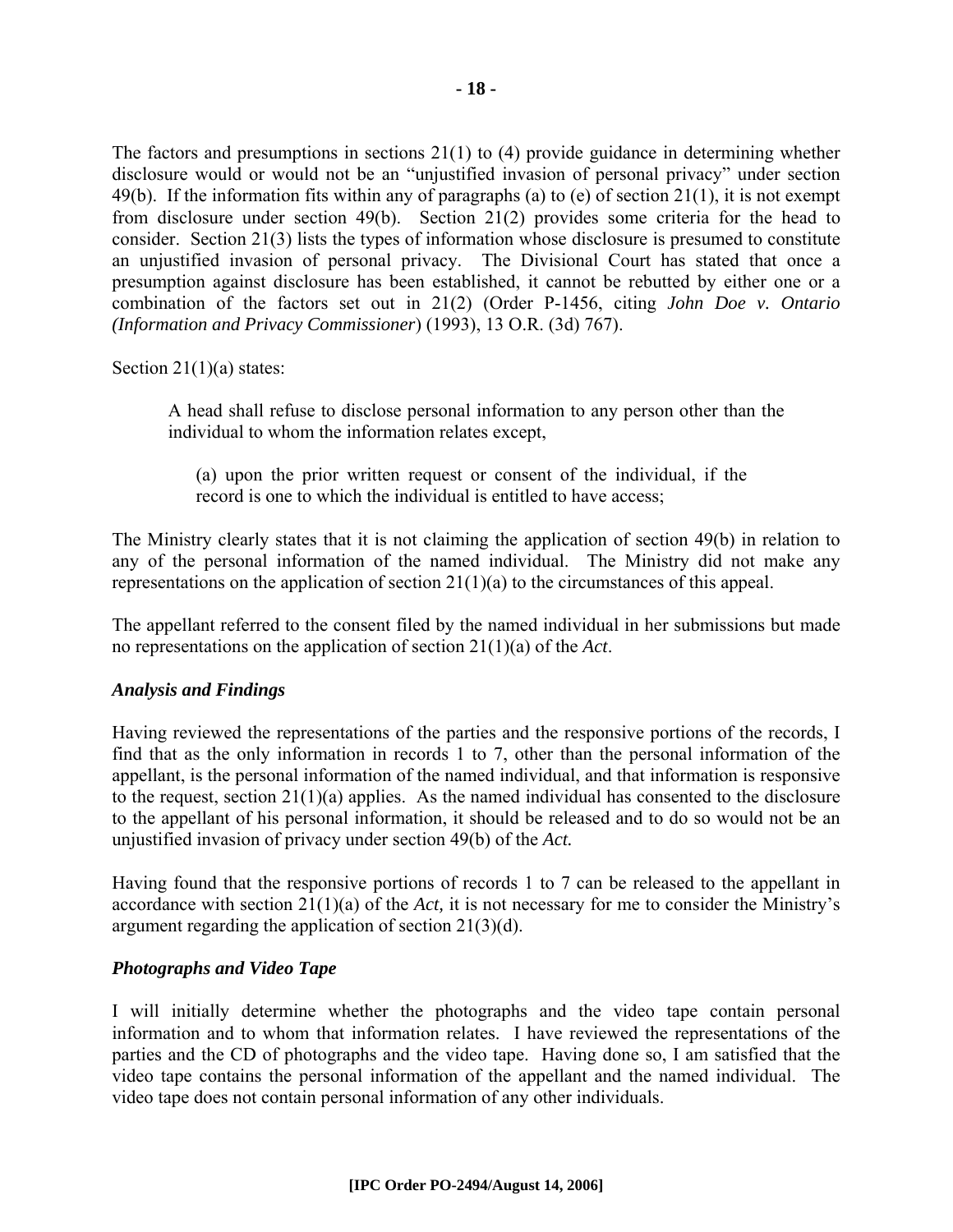The factors and presumptions in sections 21(1) to (4) provide guidance in determining whether disclosure would or would not be an "unjustified invasion of personal privacy" under section 49(b). If the information fits within any of paragraphs (a) to (e) of section 21(1), it is not exempt from disclosure under section 49(b). Section 21(2) provides some criteria for the head to consider. Section 21(3) lists the types of information whose disclosure is presumed to constitute an unjustified invasion of personal privacy. The Divisional Court has stated that once a presumption against disclosure has been established, it cannot be rebutted by either one or a combination of the factors set out in 21(2) (Order P-1456, citing *John Doe v. Ontario (Information and Privacy Commissioner*) (1993), 13 O.R. (3d) 767).

Section  $21(1)(a)$  states:

A head shall refuse to disclose personal information to any person other than the individual to whom the information relates except,

(a) upon the prior written request or consent of the individual, if the record is one to which the individual is entitled to have access;

The Ministry clearly states that it is not claiming the application of section 49(b) in relation to any of the personal information of the named individual. The Ministry did not make any representations on the application of section 21(1)(a) to the circumstances of this appeal.

The appellant referred to the consent filed by the named individual in her submissions but made no representations on the application of section 21(1)(a) of the *Act*.

#### *Analysis and Findings*

Having reviewed the representations of the parties and the responsive portions of the records, I find that as the only information in records 1 to 7, other than the personal information of the appellant, is the personal information of the named individual, and that information is responsive to the request, section 21(1)(a) applies. As the named individual has consented to the disclosure to the appellant of his personal information, it should be released and to do so would not be an unjustified invasion of privacy under section 49(b) of the *Act.* 

Having found that the responsive portions of records 1 to 7 can be released to the appellant in accordance with section 21(1)(a) of the *Act,* it is not necessary for me to consider the Ministry's argument regarding the application of section 21(3)(d).

#### *Photographs and Video Tape*

I will initially determine whether the photographs and the video tape contain personal information and to whom that information relates. I have reviewed the representations of the parties and the CD of photographs and the video tape. Having done so, I am satisfied that the video tape contains the personal information of the appellant and the named individual. The video tape does not contain personal information of any other individuals.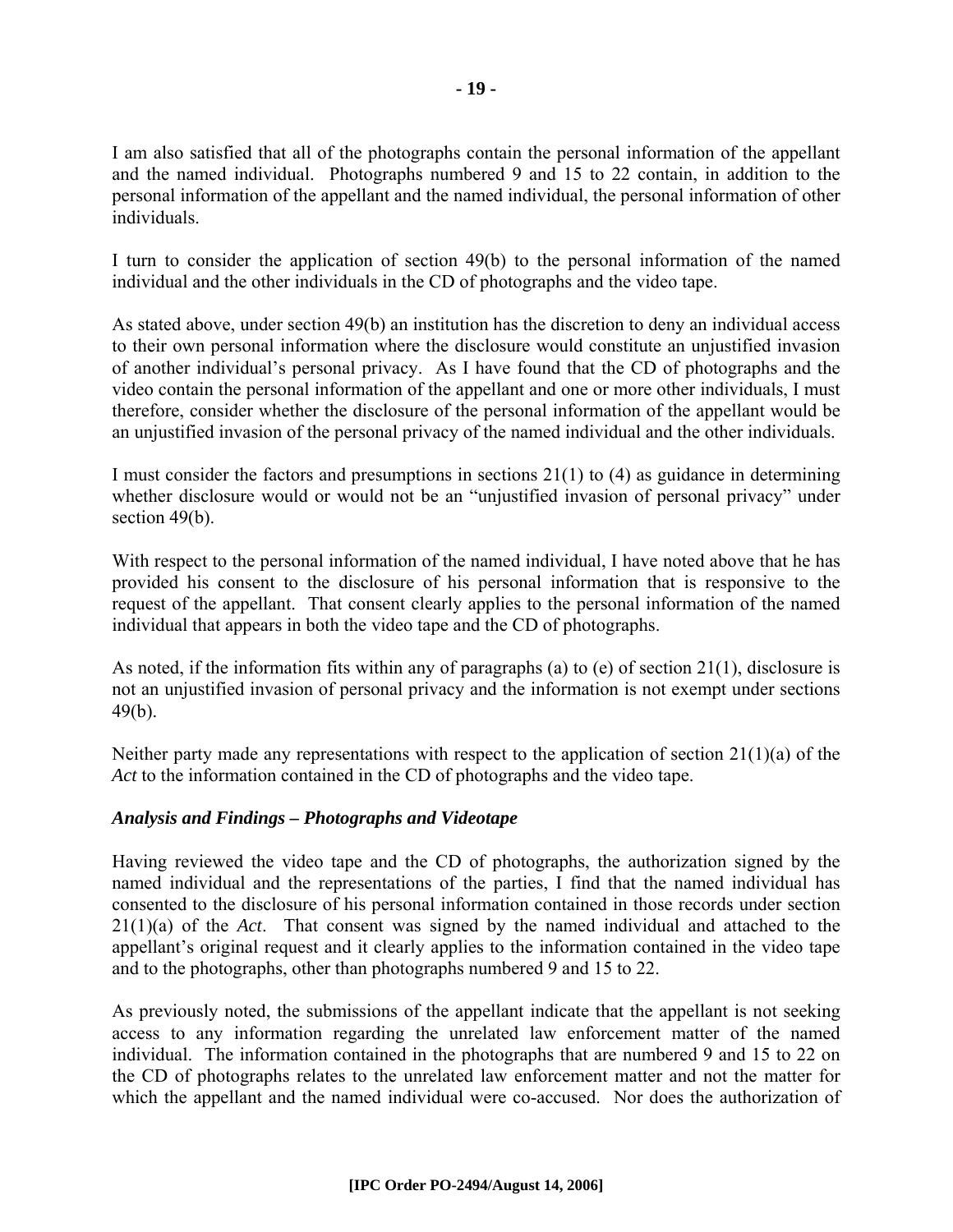I am also satisfied that all of the photographs contain the personal information of the appellant and the named individual. Photographs numbered 9 and 15 to 22 contain, in addition to the personal information of the appellant and the named individual, the personal information of other individuals.

I turn to consider the application of section 49(b) to the personal information of the named individual and the other individuals in the CD of photographs and the video tape.

As stated above, under section 49(b) an institution has the discretion to deny an individual access to their own personal information where the disclosure would constitute an unjustified invasion of another individual's personal privacy. As I have found that the CD of photographs and the video contain the personal information of the appellant and one or more other individuals, I must therefore, consider whether the disclosure of the personal information of the appellant would be an unjustified invasion of the personal privacy of the named individual and the other individuals.

I must consider the factors and presumptions in sections 21(1) to (4) as guidance in determining whether disclosure would or would not be an "unjustified invasion of personal privacy" under section 49(b).

With respect to the personal information of the named individual, I have noted above that he has provided his consent to the disclosure of his personal information that is responsive to the request of the appellant. That consent clearly applies to the personal information of the named individual that appears in both the video tape and the CD of photographs.

As noted, if the information fits within any of paragraphs (a) to (e) of section 21(1), disclosure is not an unjustified invasion of personal privacy and the information is not exempt under sections 49(b).

Neither party made any representations with respect to the application of section  $21(1)(a)$  of the *Act* to the information contained in the CD of photographs and the video tape.

#### *Analysis and Findings – Photographs and Videotape*

Having reviewed the video tape and the CD of photographs, the authorization signed by the named individual and the representations of the parties, I find that the named individual has consented to the disclosure of his personal information contained in those records under section 21(1)(a) of the *Act*. That consent was signed by the named individual and attached to the appellant's original request and it clearly applies to the information contained in the video tape and to the photographs, other than photographs numbered 9 and 15 to 22.

As previously noted, the submissions of the appellant indicate that the appellant is not seeking access to any information regarding the unrelated law enforcement matter of the named individual. The information contained in the photographs that are numbered 9 and 15 to 22 on the CD of photographs relates to the unrelated law enforcement matter and not the matter for which the appellant and the named individual were co-accused. Nor does the authorization of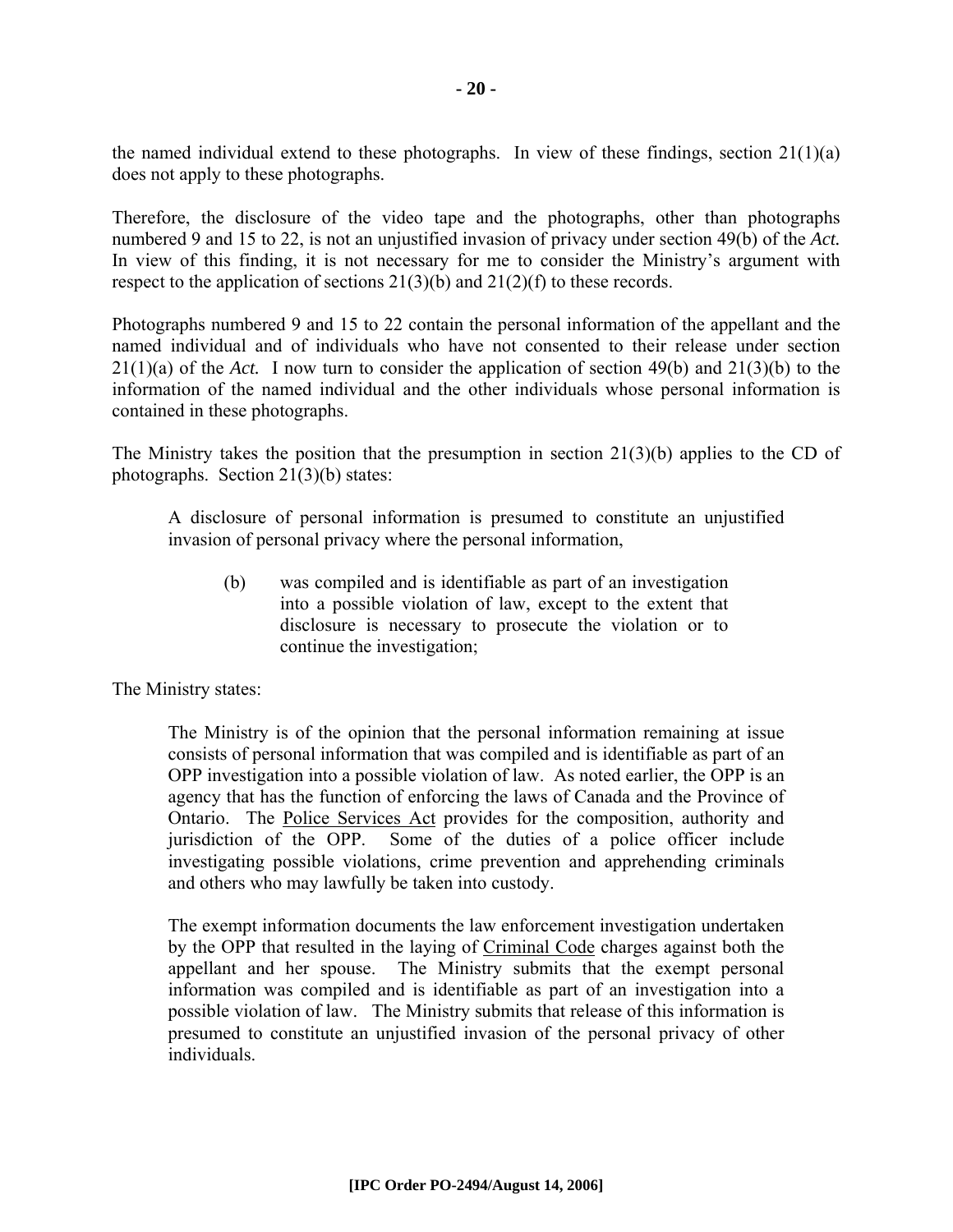the named individual extend to these photographs. In view of these findings, section  $21(1)(a)$ does not apply to these photographs.

Therefore, the disclosure of the video tape and the photographs, other than photographs numbered 9 and 15 to 22, is not an unjustified invasion of privacy under section 49(b) of the *Act.* In view of this finding, it is not necessary for me to consider the Ministry's argument with respect to the application of sections  $21(3)(b)$  and  $21(2)(f)$  to these records.

Photographs numbered 9 and 15 to 22 contain the personal information of the appellant and the named individual and of individuals who have not consented to their release under section 21(1)(a) of the *Act.* I now turn to consider the application of section 49(b) and 21(3)(b) to the information of the named individual and the other individuals whose personal information is contained in these photographs.

The Ministry takes the position that the presumption in section 21(3)(b) applies to the CD of photographs. Section 21(3)(b) states:

A disclosure of personal information is presumed to constitute an unjustified invasion of personal privacy where the personal information,

(b) was compiled and is identifiable as part of an investigation into a possible violation of law, except to the extent that disclosure is necessary to prosecute the violation or to continue the investigation;

The Ministry states:

The Ministry is of the opinion that the personal information remaining at issue consists of personal information that was compiled and is identifiable as part of an OPP investigation into a possible violation of law. As noted earlier, the OPP is an agency that has the function of enforcing the laws of Canada and the Province of Ontario. The Police Services Act provides for the composition, authority and jurisdiction of the OPP. Some of the duties of a police officer include investigating possible violations, crime prevention and apprehending criminals and others who may lawfully be taken into custody.

The exempt information documents the law enforcement investigation undertaken by the OPP that resulted in the laying of Criminal Code charges against both the appellant and her spouse. The Ministry submits that the exempt personal information was compiled and is identifiable as part of an investigation into a possible violation of law. The Ministry submits that release of this information is presumed to constitute an unjustified invasion of the personal privacy of other individuals.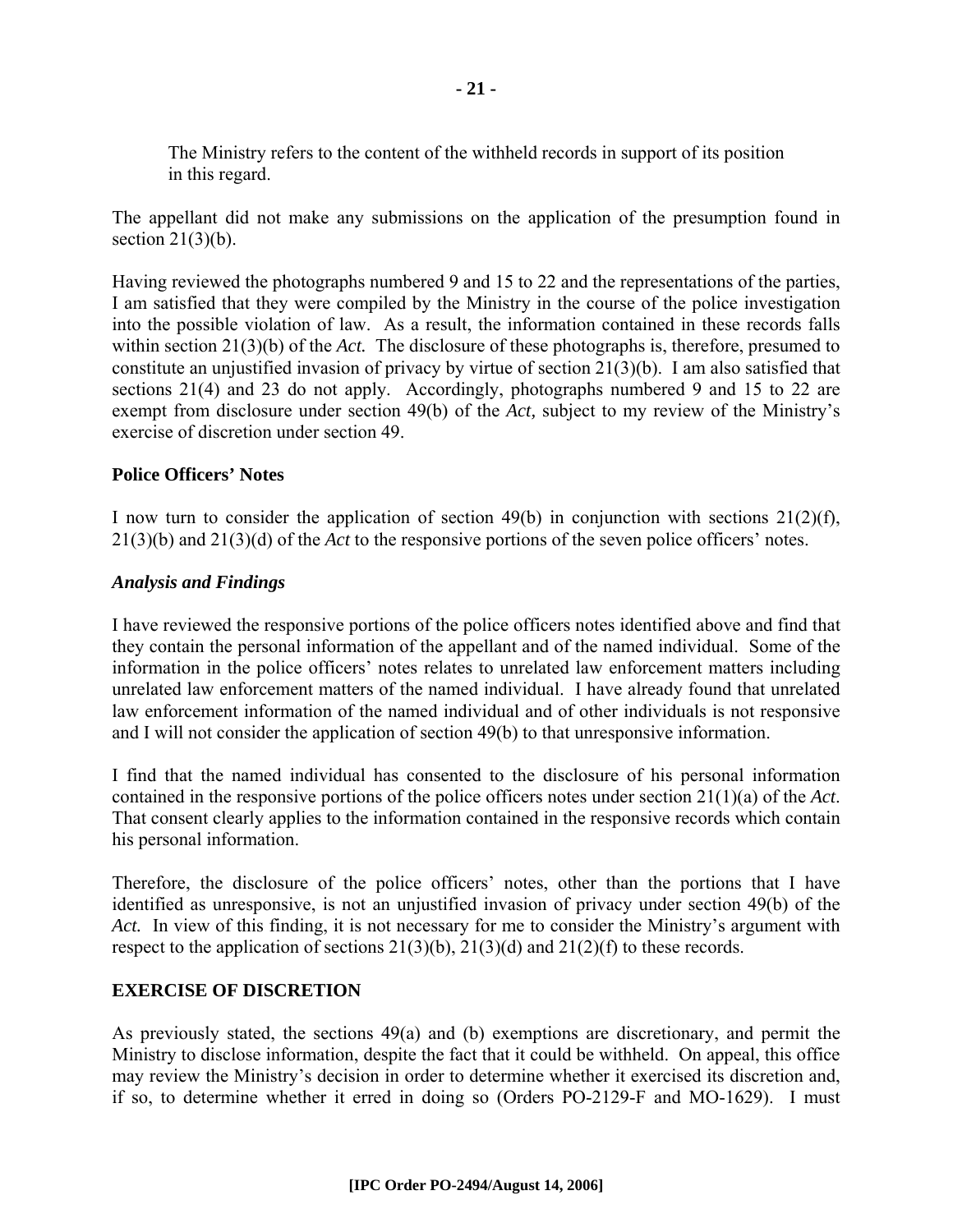The Ministry refers to the content of the withheld records in support of its position in this regard.

The appellant did not make any submissions on the application of the presumption found in section  $21(3)(b)$ .

Having reviewed the photographs numbered 9 and 15 to 22 and the representations of the parties, I am satisfied that they were compiled by the Ministry in the course of the police investigation into the possible violation of law. As a result, the information contained in these records falls within section 21(3)(b) of the *Act.* The disclosure of these photographs is, therefore, presumed to constitute an unjustified invasion of privacy by virtue of section 21(3)(b). I am also satisfied that sections 21(4) and 23 do not apply. Accordingly, photographs numbered 9 and 15 to 22 are exempt from disclosure under section 49(b) of the *Act,* subject to my review of the Ministry's exercise of discretion under section 49.

#### **Police Officers' Notes**

I now turn to consider the application of section 49(b) in conjunction with sections  $21(2)(f)$ , 21(3)(b) and 21(3)(d) of the *Act* to the responsive portions of the seven police officers' notes.

#### *Analysis and Findings*

I have reviewed the responsive portions of the police officers notes identified above and find that they contain the personal information of the appellant and of the named individual. Some of the information in the police officers' notes relates to unrelated law enforcement matters including unrelated law enforcement matters of the named individual. I have already found that unrelated law enforcement information of the named individual and of other individuals is not responsive and I will not consider the application of section 49(b) to that unresponsive information.

I find that the named individual has consented to the disclosure of his personal information contained in the responsive portions of the police officers notes under section 21(1)(a) of the *Act*. That consent clearly applies to the information contained in the responsive records which contain his personal information.

Therefore, the disclosure of the police officers' notes, other than the portions that I have identified as unresponsive, is not an unjustified invasion of privacy under section 49(b) of the *Act.* In view of this finding, it is not necessary for me to consider the Ministry's argument with respect to the application of sections  $21(3)(b)$ ,  $21(3)(d)$  and  $21(2)(f)$  to these records.

#### **EXERCISE OF DISCRETION**

As previously stated, the sections 49(a) and (b) exemptions are discretionary, and permit the Ministry to disclose information, despite the fact that it could be withheld. On appeal, this office may review the Ministry's decision in order to determine whether it exercised its discretion and, if so, to determine whether it erred in doing so (Orders PO-2129-F and MO-1629). I must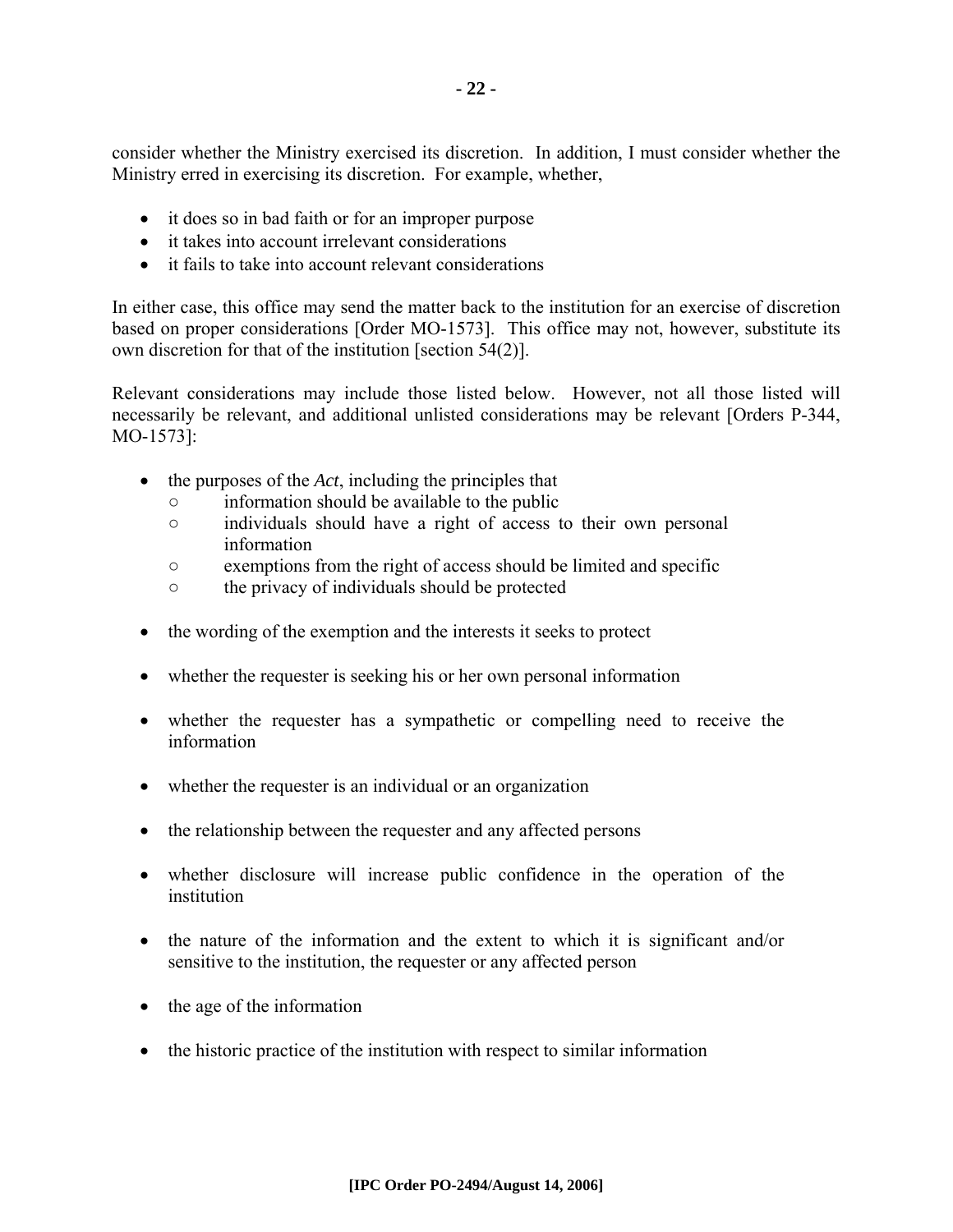consider whether the Ministry exercised its discretion. In addition, I must consider whether the Ministry erred in exercising its discretion. For example, whether,

- it does so in bad faith or for an improper purpose
- it takes into account irrelevant considerations
- it fails to take into account relevant considerations

In either case, this office may send the matter back to the institution for an exercise of discretion based on proper considerations [Order MO-1573]. This office may not, however, substitute its own discretion for that of the institution [section 54(2)].

Relevant considerations may include those listed below. However, not all those listed will necessarily be relevant, and additional unlisted considerations may be relevant [Orders P-344, MO-1573]:

- the purposes of the *Act*, including the principles that
	- information should be available to the public
	- individuals should have a right of access to their own personal information
	- exemptions from the right of access should be limited and specific
	- the privacy of individuals should be protected
- the wording of the exemption and the interests it seeks to protect
- whether the requester is seeking his or her own personal information
- whether the requester has a sympathetic or compelling need to receive the information
- whether the requester is an individual or an organization
- the relationship between the requester and any affected persons
- whether disclosure will increase public confidence in the operation of the institution
- the nature of the information and the extent to which it is significant and/or sensitive to the institution, the requester or any affected person
- the age of the information
- the historic practice of the institution with respect to similar information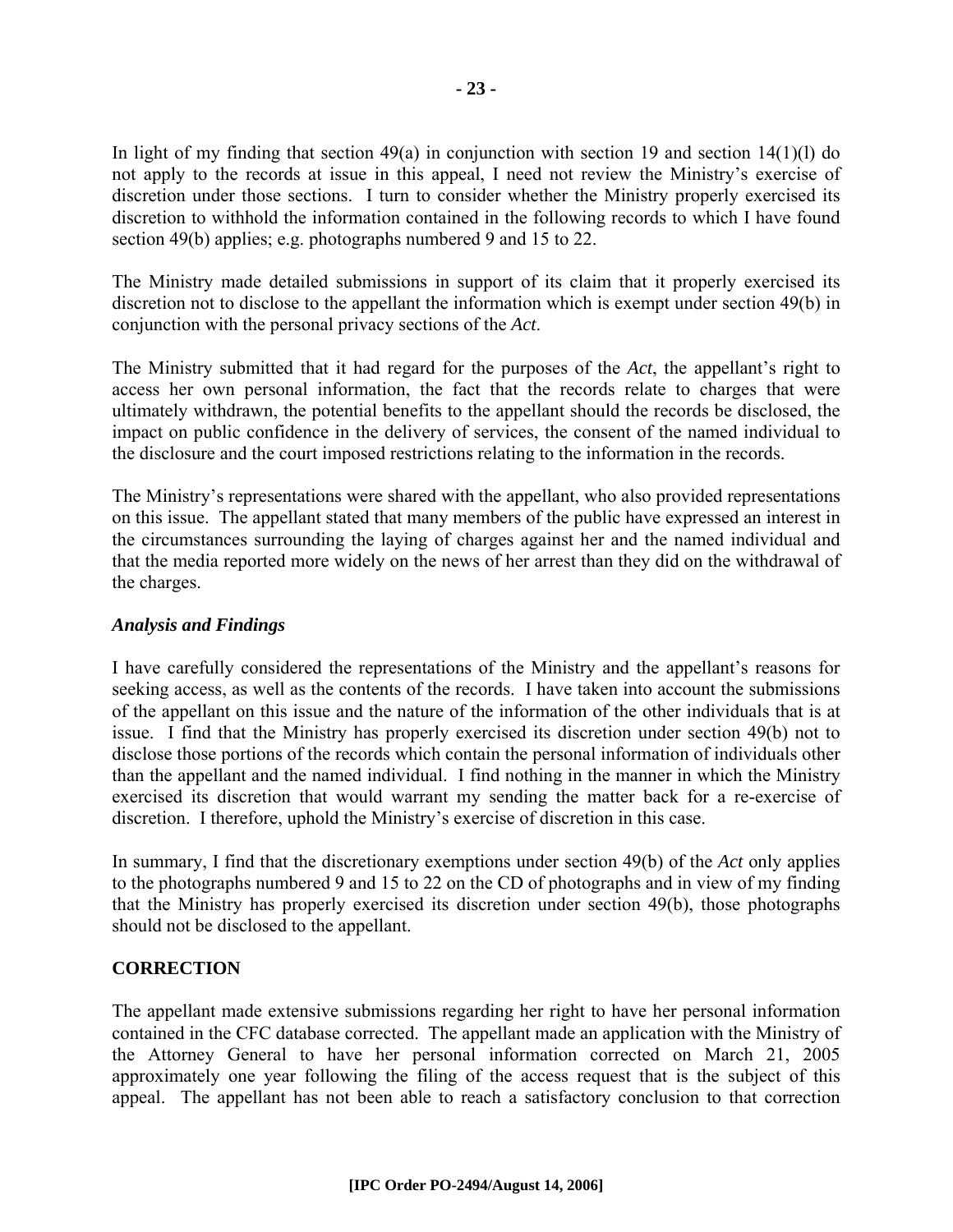In light of my finding that section  $49(a)$  in conjunction with section 19 and section  $14(1)(1)$  do not apply to the records at issue in this appeal, I need not review the Ministry's exercise of discretion under those sections. I turn to consider whether the Ministry properly exercised its discretion to withhold the information contained in the following records to which I have found section 49(b) applies; e.g. photographs numbered 9 and 15 to 22.

The Ministry made detailed submissions in support of its claim that it properly exercised its discretion not to disclose to the appellant the information which is exempt under section 49(b) in conjunction with the personal privacy sections of the *Act*.

The Ministry submitted that it had regard for the purposes of the *Act*, the appellant's right to access her own personal information, the fact that the records relate to charges that were ultimately withdrawn, the potential benefits to the appellant should the records be disclosed, the impact on public confidence in the delivery of services, the consent of the named individual to the disclosure and the court imposed restrictions relating to the information in the records.

The Ministry's representations were shared with the appellant, who also provided representations on this issue. The appellant stated that many members of the public have expressed an interest in the circumstances surrounding the laying of charges against her and the named individual and that the media reported more widely on the news of her arrest than they did on the withdrawal of the charges.

#### *Analysis and Findings*

I have carefully considered the representations of the Ministry and the appellant's reasons for seeking access, as well as the contents of the records. I have taken into account the submissions of the appellant on this issue and the nature of the information of the other individuals that is at issue. I find that the Ministry has properly exercised its discretion under section 49(b) not to disclose those portions of the records which contain the personal information of individuals other than the appellant and the named individual. I find nothing in the manner in which the Ministry exercised its discretion that would warrant my sending the matter back for a re-exercise of discretion. I therefore, uphold the Ministry's exercise of discretion in this case.

In summary, I find that the discretionary exemptions under section 49(b) of the *Act* only applies to the photographs numbered 9 and 15 to 22 on the CD of photographs and in view of my finding that the Ministry has properly exercised its discretion under section 49(b), those photographs should not be disclosed to the appellant.

#### **CORRECTION**

The appellant made extensive submissions regarding her right to have her personal information contained in the CFC database corrected. The appellant made an application with the Ministry of the Attorney General to have her personal information corrected on March 21, 2005 approximately one year following the filing of the access request that is the subject of this appeal. The appellant has not been able to reach a satisfactory conclusion to that correction